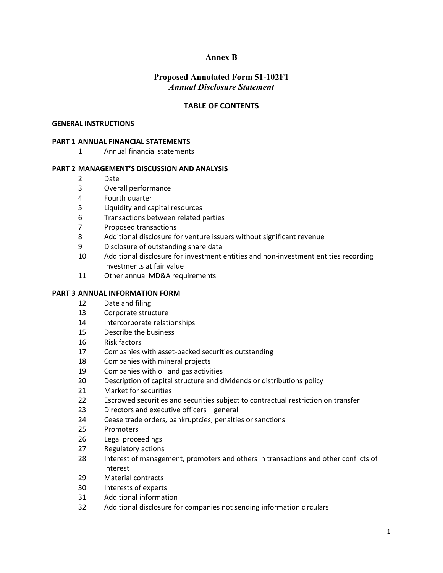# **Annex B**

# **Proposed Annotated Form 51-102F1**  *Annual Disclosure Statement*

# **TABLE OF CONTENTS**

#### **GENERAL INSTRUCTIONS**

#### **PART 1 ANNUAL FINANCIAL STATEMENTS**

Annual financial statements

#### **PART 2 MANAGEMENT'S DISCUSSION AND ANALYSIS**

- Date
- Overall performance
- Fourth quarter
- Liquidity and capital resources
- Transactions between related parties
- Proposed transactions
- Additional disclosure for venture issuers without significant revenue
- Disclosure of outstanding share data
- Additional disclosure for investment entities and non-investment entities recording investments at fair value
- Other annual MD&A requirements

#### **PART 3 ANNUAL INFORMATION FORM**

- Date and filing
- Corporate structure
- Intercorporate relationships
- Describe the business
- Risk factors
- Companies with asset-backed securities outstanding
- Companies with mineral projects
- Companies with oil and gas activities
- Description of capital structure and dividends or distributions policy
- Market for securities
- Escrowed securities and securities subject to contractual restriction on transfer
- Directors and executive officers general
- Cease trade orders, bankruptcies, penalties or sanctions
- Promoters
- Legal proceedings
- Regulatory actions
- Interest of management, promoters and others in transactions and other conflicts of interest
- Material contracts
- Interests of experts
- Additional information
- Additional disclosure for companies not sending information circulars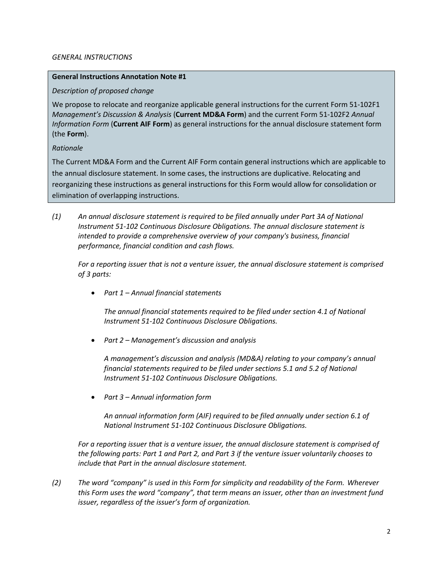### *GENERAL INSTRUCTIONS*

## **General Instructions Annotation Note #1**

# *Description of proposed change*

We propose to relocate and reorganize applicable general instructions for the current Form 51-102F1 *Management's Discussion & Analysis* (**Current MD&A Form**) and the current Form 51-102F2 *Annual Information Form* (**Current AIF Form**) as general instructions for the annual disclosure statement form (the **Form**).

# *Rationale*

The Current MD&A Form and the Current AIF Form contain general instructions which are applicable to the annual disclosure statement. In some cases, the instructions are duplicative. Relocating and reorganizing these instructions as general instructions for this Form would allow for consolidation or elimination of overlapping instructions.

*(1) An annual disclosure statement is required to be filed annually under Part 3A of National Instrument 51-102 Continuous Disclosure Obligations. The annual disclosure statement is intended to provide a comprehensive overview of your company's business, financial performance, financial condition and cash flows.*

*For a reporting issuer that is not a venture issuer, the annual disclosure statement is comprised of 3 parts:*

• *Part 1 – Annual financial statements*

*The annual financial statements required to be filed under section 4.1 of National Instrument 51-102 Continuous Disclosure Obligations.*

• *Part 2 – Management's discussion and analysis* 

*A management's discussion and analysis (MD&A) relating to your company's annual financial statements required to be filed under sections 5.1 and 5.2 of National Instrument 51-102 Continuous Disclosure Obligations.*

• *Part 3 – Annual information form* 

*An annual information form (AIF) required to be filed annually under section 6.1 of National Instrument 51-102 Continuous Disclosure Obligations.*

For a reporting issuer that is a venture issuer, the annual disclosure statement is comprised of *the following parts: Part 1 and Part 2, and Part 3 if the venture issuer voluntarily chooses to include that Part in the annual disclosure statement.* 

*(2) The word "company" is used in this Form for simplicity and readability of the Form. Wherever this Form uses the word "company", that term means an issuer, other than an investment fund issuer, regardless of the issuer's form of organization.*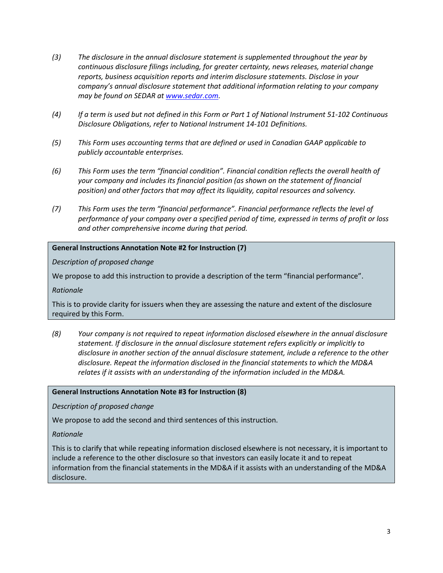- *(3) The disclosure in the annual disclosure statement is supplemented throughout the year by continuous disclosure filings including, for greater certainty, news releases, material change reports, business acquisition reports and interim disclosure statements. Disclose in your company's annual disclosure statement that additional information relating to your company may be found on SEDAR at [www.sedar.com.](http://www.sedar.com/)*
- *(4) If a term is used but not defined in this Form or Part 1 of National Instrument 51-102 Continuous Disclosure Obligations, refer to National Instrument 14-101 Definitions.*
- *(5) This Form uses accounting terms that are defined or used in Canadian GAAP applicable to publicly accountable enterprises.*
- *(6) This Form uses the term "financial condition". Financial condition reflects the overall health of your company and includes its financial position (as shown on the statement of financial position) and other factors that may affect its liquidity, capital resources and solvency.*
- *(7) This Form uses the term "financial performance". Financial performance reflects the level of performance of your company over a specified period of time, expressed in terms of profit or loss and other comprehensive income during that period.*

# **General Instructions Annotation Note #2 for Instruction (7)**

*Description of proposed change*

We propose to add this instruction to provide a description of the term "financial performance".

*Rationale*

This is to provide clarity for issuers when they are assessing the nature and extent of the disclosure required by this Form.

*(8) Your company is not required to repeat information disclosed elsewhere in the annual disclosure statement. If disclosure in the annual disclosure statement refers explicitly or implicitly to disclosure in another section of the annual disclosure statement, include a reference to the other disclosure. Repeat the information disclosed in the financial statements to which the MD&A relates if it assists with an understanding of the information included in the MD&A.*

### **General Instructions Annotation Note #3 for Instruction (8)**

*Description of proposed change*

We propose to add the second and third sentences of this instruction.

*Rationale*

This is to clarify that while repeating information disclosed elsewhere is not necessary, it is important to include a reference to the other disclosure so that investors can easily locate it and to repeat information from the financial statements in the MD&A if it assists with an understanding of the MD&A disclosure.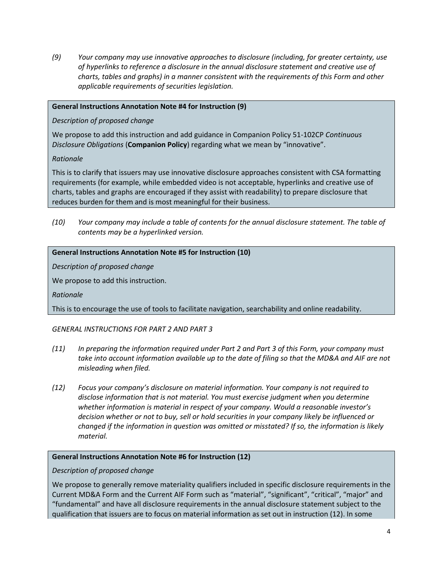*(9) Your company may use innovative approaches to disclosure (including, for greater certainty, use of hyperlinks to reference a disclosure in the annual disclosure statement and creative use of charts, tables and graphs) in a manner consistent with the requirements of this Form and other applicable requirements of securities legislation.* 

## **General Instructions Annotation Note #4 for Instruction (9)**

*Description of proposed change*

We propose to add this instruction and add guidance in Companion Policy 51-102CP *Continuous Disclosure Obligations* (**Companion Policy**) regarding what we mean by "innovative".

### *Rationale*

This is to clarify that issuers may use innovative disclosure approaches consistent with CSA formatting requirements (for example, while embedded video is not acceptable, hyperlinks and creative use of charts, tables and graphs are encouraged if they assist with readability) to prepare disclosure that reduces burden for them and is most meaningful for their business.

*(10) Your company may include a table of contents for the annual disclosure statement. The table of contents may be a hyperlinked version.* 

# **General Instructions Annotation Note #5 for Instruction (10)**

*Description of proposed change*

We propose to add this instruction.

*Rationale*

This is to encourage the use of tools to facilitate navigation, searchability and online readability.

# *GENERAL INSTRUCTIONS FOR PART 2 AND PART 3*

- *(11) In preparing the information required under Part 2 and Part 3 of this Form, your company must take into account information available up to the date of filing so that the MD&A and AIF are not misleading when filed.*
- *(12) Focus your company's disclosure on material information. Your company is not required to disclose information that is not material. You must exercise judgment when you determine whether information is material in respect of your company. Would a reasonable investor's decision whether or not to buy, sell or hold securities in your company likely be influenced or changed if the information in question was omitted or misstated? If so, the information is likely material.*

### **General Instructions Annotation Note #6 for Instruction (12)**

*Description of proposed change*

We propose to generally remove materiality qualifiers included in specific disclosure requirements in the Current MD&A Form and the Current AIF Form such as "material", "significant", "critical", "major" and "fundamental" and have all disclosure requirements in the annual disclosure statement subject to the qualification that issuers are to focus on material information as set out in instruction (12). In some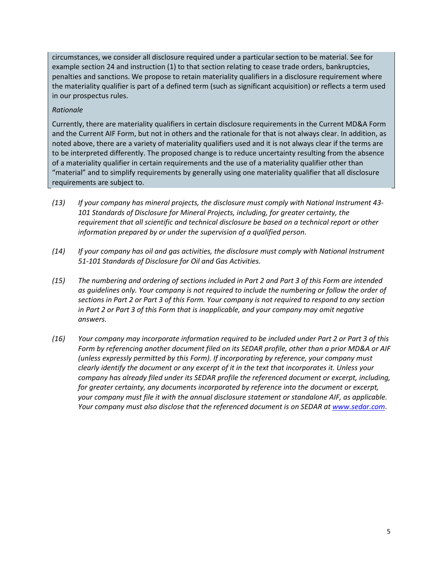circumstances, we consider all disclosure required under a particular section to be material. See for example section 24 and instruction (1) to that section relating to cease trade orders, bankruptcies, penalties and sanctions. We propose to retain materiality qualifiers in a disclosure requirement where the materiality qualifier is part of a defined term (such as significant acquisition) or reflects a term used in our prospectus rules.

# *Rationale*

Currently, there are materiality qualifiers in certain disclosure requirements in the Current MD&A Form and the Current AIF Form, but not in others and the rationale for that is not always clear. In addition, as noted above, there are a variety of materiality qualifiers used and it is not always clear if the terms are to be interpreted differently. The proposed change is to reduce uncertainty resulting from the absence of a materiality qualifier in certain requirements and the use of a materiality qualifier other than "material" and to simplify requirements by generally using one materiality qualifier that all disclosure requirements are subject to.

- *(13) If your company has mineral projects, the disclosure must comply with National Instrument 43- 101 Standards of Disclosure for Mineral Projects, including, for greater certainty, the requirement that all scientific and technical disclosure be based on a technical report or other information prepared by or under the supervision of a qualified person.*
- *(14) If your company has oil and gas activities, the disclosure must comply with National Instrument 51-101 Standards of Disclosure for Oil and Gas Activities.*
- *(15) The numbering and ordering of sections included in Part 2 and Part 3 of this Form are intended as guidelines only. Your company is not required to include the numbering or follow the order of sections in Part 2 or Part 3 of this Form. Your company is not required to respond to any section in Part 2 or Part 3 of this Form that is inapplicable, and your company may omit negative answers.*
- *(16) Your company may incorporate information required to be included under Part 2 or Part 3 of this Form by referencing another document filed on its SEDAR profile, other than a prior MD&A or AIF (unless expressly permitted by this Form). If incorporating by reference, your company must clearly identify the document or any excerpt of it in the text that incorporates it. Unless your company has already filed under its SEDAR profile the referenced document or excerpt, including, for greater certainty, any documents incorporated by reference into the document or excerpt, your company must file it with the annual disclosure statement or standalone AIF, as applicable. Your company must also disclose that the referenced document is on SEDAR at [www.sedar.com](http://www.sedar.com/)*.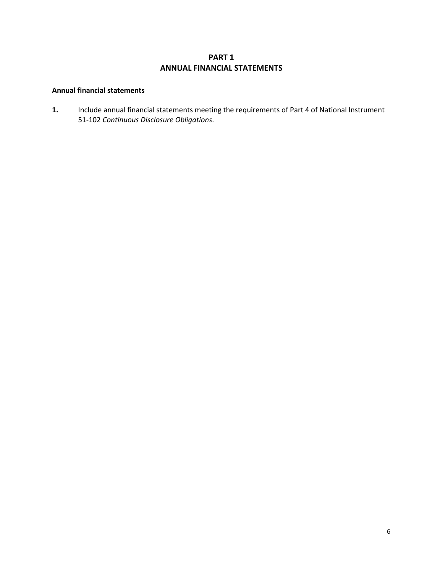# **PART 1 ANNUAL FINANCIAL STATEMENTS**

#### **Annual financial statements**

**1.** Include annual financial statements meeting the requirements of Part 4 of National Instrument 51-102 *Continuous Disclosure Obligations*.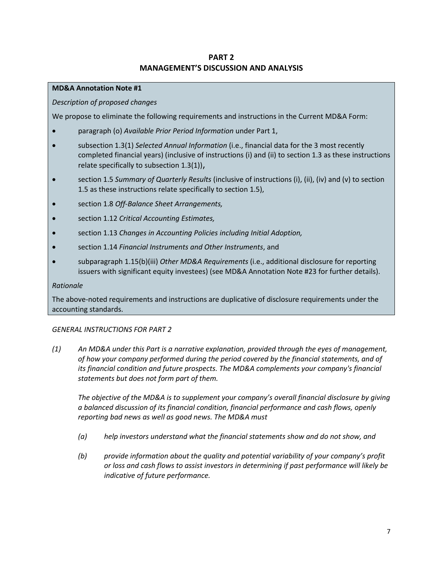# **PART 2 MANAGEMENT'S DISCUSSION AND ANALYSIS**

# **MD&A Annotation Note #1**

# *Description of proposed changes*

We propose to eliminate the following requirements and instructions in the Current MD&A Form:

- paragraph (o) *Available Prior Period Information* under Part 1,
- subsection 1.3(1) *Selected Annual Information* (i.e., financial data for the 3 most recently completed financial years) (inclusive of instructions (i) and (ii) to section 1.3 as these instructions relate specifically to subsection 1.3(1)),
- section 1.5 *Summary of Quarterly Results* (inclusive of instructions (i), (ii), (iv) and (v) to section 1.5 as these instructions relate specifically to section 1.5),
- section 1.8 *Off-Balance Sheet Arrangements,*
- section 1.12 *Critical Accounting Estimates,*
- section 1.13 *Changes in Accounting Policies including Initial Adoption,*
- section 1.14 *Financial Instruments and Other Instruments*, and
- subparagraph 1.15(b)(iii) *Other MD&A Requirements* (i.e., additional disclosure for reporting issuers with significant equity investees) (see MD&A Annotation Note #23 for further details).

#### *Rationale*

The above-noted requirements and instructions are duplicative of disclosure requirements under the accounting standards.

### *GENERAL INSTRUCTIONS FOR PART 2*

*(1) An MD&A under this Part is a narrative explanation, provided through the eyes of management, of how your company performed during the period covered by the financial statements, and of its financial condition and future prospects. The MD&A complements your company's financial statements but does not form part of them.*

*The objective of the MD&A is to supplement your company's overall financial disclosure by giving a balanced discussion of its financial condition, financial performance and cash flows, openly reporting bad news as well as good news. The MD&A must*

- *(a) help investors understand what the financial statements show and do not show, and*
- *(b) provide information about the quality and potential variability of your company's profit or loss and cash flows to assist investors in determining if past performance will likely be indicative of future performance.*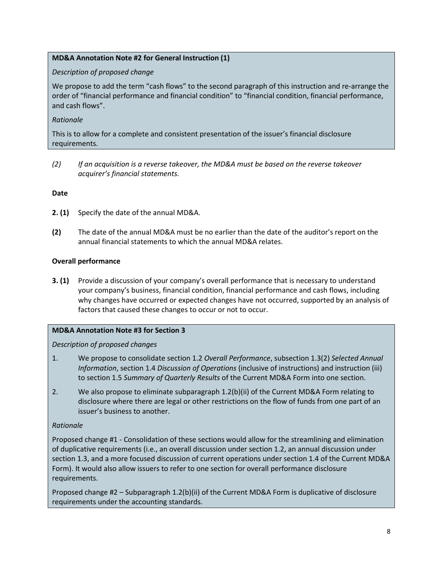# **MD&A Annotation Note #2 for General Instruction (1)**

## *Description of proposed change*

We propose to add the term "cash flows" to the second paragraph of this instruction and re-arrange the order of "financial performance and financial condition" to "financial condition, financial performance, and cash flows".

# *Rationale*

This is to allow for a complete and consistent presentation of the issuer's financial disclosure requirements.

*(2) If an acquisition is a reverse takeover, the MD&A must be based on the reverse takeover acquirer's financial statements.*

# **Date**

- **2. (1)** Specify the date of the annual MD&A.
- **(2)** The date of the annual MD&A must be no earlier than the date of the auditor's report on the annual financial statements to which the annual MD&A relates.

# **Overall performance**

**3. (1)** Provide a discussion of your company's overall performance that is necessary to understand your company's business, financial condition, financial performance and cash flows, including why changes have occurred or expected changes have not occurred, supported by an analysis of factors that caused these changes to occur or not to occur.

### **MD&A Annotation Note #3 for Section 3**

# *Description of proposed changes*

- 1. We propose to consolidate section 1.2 *Overall Performance*, subsection 1.3(2) *Selected Annual Information*, section 1.4 *Discussion of Operations* (inclusive of instructions) and instruction (iii) to section 1.5 *Summary of Quarterly Results* of the Current MD&A Form into one section.
- 2. We also propose to eliminate subparagraph 1.2(b)(ii) of the Current MD&A Form relating to disclosure where there are legal or other restrictions on the flow of funds from one part of an issuer's business to another.

# *Rationale*

Proposed change #1 - Consolidation of these sections would allow for the streamlining and elimination of duplicative requirements (i.e., an overall discussion under section 1.2, an annual discussion under section 1.3, and a more focused discussion of current operations under section 1.4 of the Current MD&A Form). It would also allow issuers to refer to one section for overall performance disclosure requirements.

Proposed change #2 – Subparagraph 1.2(b)(ii) of the Current MD&A Form is duplicative of disclosure requirements under the accounting standards.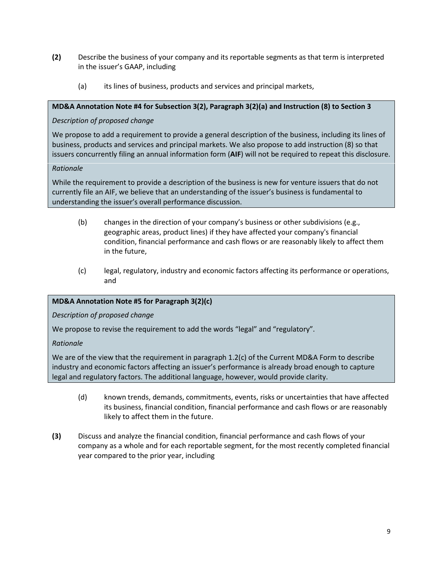- **(2)** Describe the business of your company and its reportable segments as that term is interpreted in the issuer's GAAP, including
	- (a) its lines of business, products and services and principal markets,

# **MD&A Annotation Note #4 for Subsection 3(2), Paragraph 3(2)(a) and Instruction (8) to Section 3**

# *Description of proposed change*

We propose to add a requirement to provide a general description of the business, including its lines of business, products and services and principal markets. We also propose to add instruction (8) so that issuers concurrently filing an annual information form (**AIF**) will not be required to repeat this disclosure.

# *Rationale*

While the requirement to provide a description of the business is new for venture issuers that do not currently file an AIF, we believe that an understanding of the issuer's business is fundamental to understanding the issuer's overall performance discussion.

- (b) changes in the direction of your company's business or other subdivisions (e.g., geographic areas, product lines) if they have affected your company's financial condition, financial performance and cash flows or are reasonably likely to affect them in the future,
- (c) legal, regulatory, industry and economic factors affecting its performance or operations, and

# **MD&A Annotation Note #5 for Paragraph 3(2)(c)**

*Description of proposed change*

We propose to revise the requirement to add the words "legal" and "regulatory".

# *Rationale*

We are of the view that the requirement in paragraph 1.2(c) of the Current MD&A Form to describe industry and economic factors affecting an issuer's performance is already broad enough to capture legal and regulatory factors. The additional language, however, would provide clarity.

- (d) known trends, demands, commitments, events, risks or uncertainties that have affected its business, financial condition, financial performance and cash flows or are reasonably likely to affect them in the future.
- **(3)** Discuss and analyze the financial condition, financial performance and cash flows of your company as a whole and for each reportable segment, for the most recently completed financial year compared to the prior year, including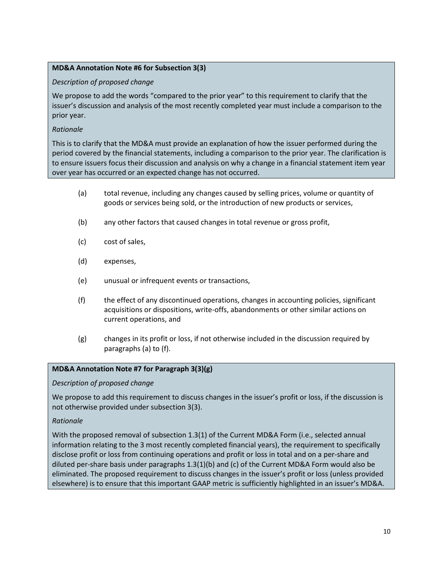# **MD&A Annotation Note #6 for Subsection 3(3)**

# *Description of proposed change*

We propose to add the words "compared to the prior year" to this requirement to clarify that the issuer's discussion and analysis of the most recently completed year must include a comparison to the prior year.

# *Rationale*

This is to clarify that the MD&A must provide an explanation of how the issuer performed during the period covered by the financial statements, including a comparison to the prior year. The clarification is to ensure issuers focus their discussion and analysis on why a change in a financial statement item year over year has occurred or an expected change has not occurred.

- (a) total revenue, including any changes caused by selling prices, volume or quantity of goods or services being sold, or the introduction of new products or services,
- (b) any other factors that caused changes in total revenue or gross profit,
- (c) cost of sales,
- (d) expenses,
- (e) unusual or infrequent events or transactions,
- (f) the effect of any discontinued operations, changes in accounting policies, significant acquisitions or dispositions, write-offs, abandonments or other similar actions on current operations, and
- (g) changes in its profit or loss, if not otherwise included in the discussion required by paragraphs (a) to (f).

### **MD&A Annotation Note #7 for Paragraph 3(3)(g)**

### *Description of proposed change*

We propose to add this requirement to discuss changes in the issuer's profit or loss, if the discussion is not otherwise provided under subsection 3(3).

### *Rationale*

With the proposed removal of subsection 1.3(1) of the Current MD&A Form (i.e., selected annual information relating to the 3 most recently completed financial years), the requirement to specifically disclose profit or loss from continuing operations and profit or loss in total and on a per-share and diluted per-share basis under paragraphs 1.3(1)(b) and (c) of the Current MD&A Form would also be eliminated. The proposed requirement to discuss changes in the issuer's profit or loss (unless provided elsewhere) is to ensure that this important GAAP metric is sufficiently highlighted in an issuer's MD&A.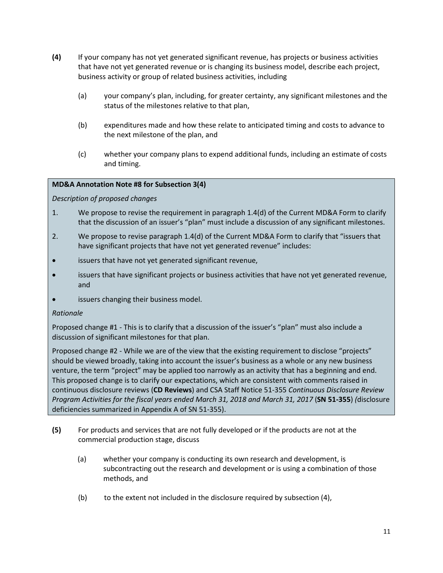- **(4)** If your company has not yet generated significant revenue, has projects or business activities that have not yet generated revenue or is changing its business model, describe each project, business activity or group of related business activities, including
	- (a) your company's plan, including, for greater certainty, any significant milestones and the status of the milestones relative to that plan,
	- (b) expenditures made and how these relate to anticipated timing and costs to advance to the next milestone of the plan, and
	- (c) whether your company plans to expend additional funds, including an estimate of costs and timing.

# **MD&A Annotation Note #8 for Subsection 3(4)**

# *Description of proposed changes*

- 1. We propose to revise the requirement in paragraph 1.4(d) of the Current MD&A Form to clarify that the discussion of an issuer's "plan" must include a discussion of any significant milestones.
- 2. We propose to revise paragraph 1.4(d) of the Current MD&A Form to clarify that "issuers that have significant projects that have not yet generated revenue" includes:
- issuers that have not yet generated significant revenue,
- issuers that have significant projects or business activities that have not yet generated revenue, and
- issuers changing their business model.

### *Rationale*

Proposed change #1 - This is to clarify that a discussion of the issuer's "plan" must also include a discussion of significant milestones for that plan.

Proposed change #2 - While we are of the view that the existing requirement to disclose "projects" should be viewed broadly, taking into account the issuer's business as a whole or any new business venture, the term "project" may be applied too narrowly as an activity that has a beginning and end. This proposed change is to clarify our expectations, which are consistent with comments raised in continuous disclosure reviews (**CD Reviews**) and CSA Staff Notice 51-355 *Continuous Disclosure Review Program Activities for the fiscal years ended March 31, 2018 and March 31, 2017* (**SN 51-355**) *(*disclosure deficiencies summarized in Appendix A of SN 51-355).

- **(5)** For products and services that are not fully developed or if the products are not at the commercial production stage, discuss
	- (a) whether your company is conducting its own research and development, is subcontracting out the research and development or is using a combination of those methods, and
	- (b) to the extent not included in the disclosure required by subsection (4),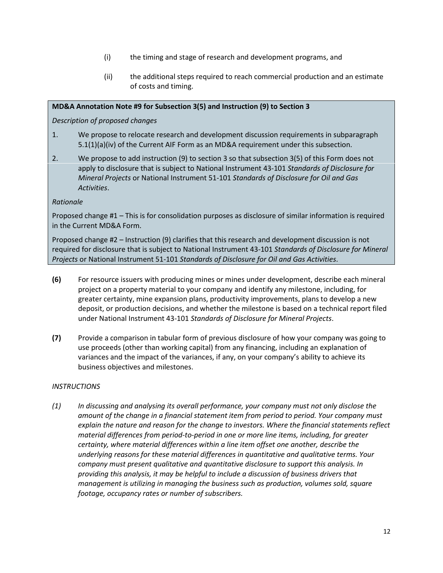- (i) the timing and stage of research and development programs, and
- (ii) the additional steps required to reach commercial production and an estimate of costs and timing.

## **MD&A Annotation Note #9 for Subsection 3(5) and Instruction (9) to Section 3**

*Description of proposed changes*

- 1. We propose to relocate research and development discussion requirements in subparagraph 5.1(1)(a)(iv) of the Current AIF Form as an MD&A requirement under this subsection.
- 2. We propose to add instruction (9) to section 3 so that subsection 3(5) of this Form does not apply to disclosure that is subject to National Instrument 43-101 *Standards of Disclosure for Mineral Projects* or National Instrument 51-101 *Standards of Disclosure for Oil and Gas Activities*.

### *Rationale*

Proposed change #1 – This is for consolidation purposes as disclosure of similar information is required in the Current MD&A Form.

Proposed change #2 – Instruction (9) clarifies that this research and development discussion is not required for disclosure that is subject to National Instrument 43-101 *Standards of Disclosure for Mineral Projects* or National Instrument 51-101 *Standards of Disclosure for Oil and Gas Activities*.

- **(6)** For resource issuers with producing mines or mines under development, describe each mineral project on a property material to your company and identify any milestone, including, for greater certainty, mine expansion plans, productivity improvements, plans to develop a new deposit, or production decisions, and whether the milestone is based on a technical report filed under National Instrument 43-101 *Standards of Disclosure for Mineral Projects*.
- **(7)** Provide a comparison in tabular form of previous disclosure of how your company was going to use proceeds (other than working capital) from any financing, including an explanation of variances and the impact of the variances, if any, on your company's ability to achieve its business objectives and milestones.

# *INSTRUCTIONS*

*(1) In discussing and analysing its overall performance, your company must not only disclose the amount of the change in a financial statement item from period to period. Your company must explain the nature and reason for the change to investors. Where the financial statements reflect material differences from period-to-period in one or more line items, including, for greater certainty, where material differences within a line item offset one another, describe the underlying reasons for these material differences in quantitative and qualitative terms. Your company must present qualitative and quantitative disclosure to support this analysis. In providing this analysis, it may be helpful to include a discussion of business drivers that management is utilizing in managing the business such as production, volumes sold, square footage, occupancy rates or number of subscribers.*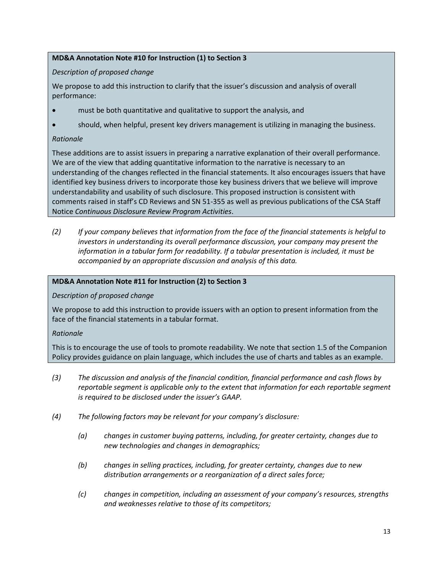# **MD&A Annotation Note #10 for Instruction (1) to Section 3**

# *Description of proposed change*

We propose to add this instruction to clarify that the issuer's discussion and analysis of overall performance:

- must be both quantitative and qualitative to support the analysis, and
- should, when helpful, present key drivers management is utilizing in managing the business.

# *Rationale*

These additions are to assist issuers in preparing a narrative explanation of their overall performance. We are of the view that adding quantitative information to the narrative is necessary to an understanding of the changes reflected in the financial statements. It also encourages issuers that have identified key business drivers to incorporate those key business drivers that we believe will improve understandability and usability of such disclosure. This proposed instruction is consistent with comments raised in staff's CD Reviews and SN 51-355 as well as previous publications of the CSA Staff Notice *Continuous Disclosure Review Program Activities*.

*(2) If your company believes that information from the face of the financial statements is helpful to investors in understanding its overall performance discussion, your company may present the information in a tabular form for readability. If a tabular presentation is included, it must be accompanied by an appropriate discussion and analysis of this data.*

# **MD&A Annotation Note #11 for Instruction (2) to Section 3**

### *Description of proposed change*

We propose to add this instruction to provide issuers with an option to present information from the face of the financial statements in a tabular format.

### *Rationale*

This is to encourage the use of tools to promote readability. We note that section 1.5 of the Companion Policy provides guidance on plain language, which includes the use of charts and tables as an example.

- *(3) The discussion and analysis of the financial condition, financial performance and cash flows by reportable segment is applicable only to the extent that information for each reportable segment is required to be disclosed under the issuer's GAAP.*
- *(4) The following factors may be relevant for your company's disclosure:*
	- *(a) changes in customer buying patterns, including, for greater certainty, changes due to new technologies and changes in demographics;*
	- *(b) changes in selling practices, including, for greater certainty, changes due to new distribution arrangements or a reorganization of a direct sales force;*
	- *(c) changes in competition, including an assessment of your company's resources, strengths and weaknesses relative to those of its competitors;*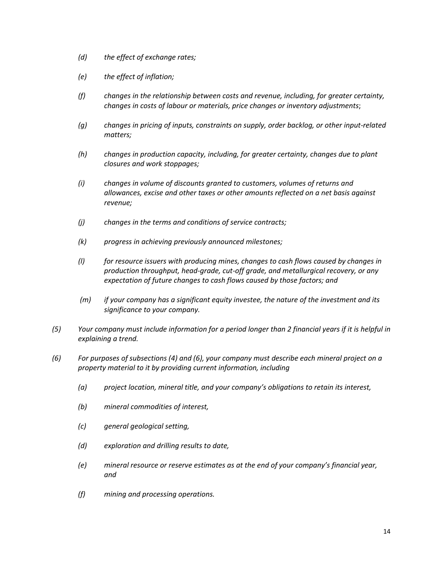- *(d) the effect of exchange rates;*
- *(e) the effect of inflation;*
- *(f) changes in the relationship between costs and revenue, including, for greater certainty, changes in costs of labour or materials, price changes or inventory adjustments*;
- *(g) changes in pricing of inputs, constraints on supply, order backlog, or other input-related matters;*
- *(h) changes in production capacity, including, for greater certainty, changes due to plant closures and work stoppages;*
- *(i) changes in volume of discounts granted to customers, volumes of returns and allowances, excise and other taxes or other amounts reflected on a net basis against revenue;*
- *(j) changes in the terms and conditions of service contracts;*
- *(k) progress in achieving previously announced milestones;*
- *(l) for resource issuers with producing mines, changes to cash flows caused by changes in production throughput, head-grade, cut-off grade, and metallurgical recovery, or any expectation of future changes to cash flows caused by those factors; and*
- *(m) if your company has a significant equity investee, the nature of the investment and its significance to your company.*
- *(5) Your company must include information for a period longer than 2 financial years if it is helpful in explaining a trend.*
- *(6) For purposes of subsections (4) and (6), your company must describe each mineral project on a property material to it by providing current information, including*
	- *(a) project location, mineral title, and your company's obligations to retain its interest,*
	- *(b) mineral commodities of interest,*
	- *(c) general geological setting,*
	- *(d) exploration and drilling results to date,*
	- *(e) mineral resource or reserve estimates as at the end of your company's financial year, and*
	- *(f) mining and processing operations.*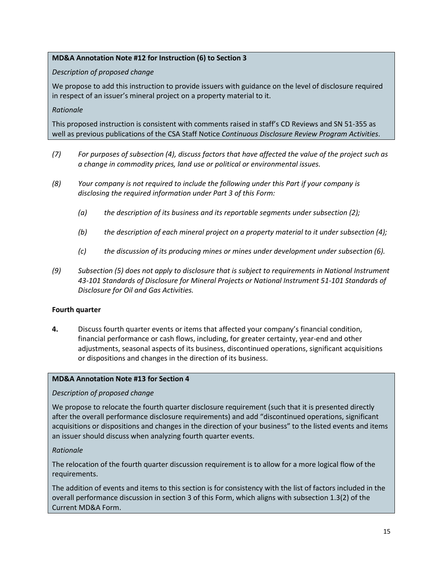# **MD&A Annotation Note #12 for Instruction (6) to Section 3**

### *Description of proposed change*

We propose to add this instruction to provide issuers with guidance on the level of disclosure required in respect of an issuer's mineral project on a property material to it.

### *Rationale*

This proposed instruction is consistent with comments raised in staff's CD Reviews and SN 51-355 as well as previous publications of the CSA Staff Notice *Continuous Disclosure Review Program Activities*.

- *(7) For purposes of subsection (4), discuss factors that have affected the value of the project such as a change in commodity prices, land use or political or environmental issues.*
- *(8) Your company is not required to include the following under this Part if your company is disclosing the required information under Part 3 of this Form:*
	- *(a) the description of its business and its reportable segments under subsection (2);*
	- *(b) the description of each mineral project on a property material to it under subsection (4);*
	- *(c) the discussion of its producing mines or mines under development under subsection (6).*
- *(9) Subsection (5) does not apply to disclosure that is subject to requirements in National Instrument 43-101 Standards of Disclosure for Mineral Projects or National Instrument 51-101 Standards of Disclosure for Oil and Gas Activities.*

### **Fourth quarter**

**4.** Discuss fourth quarter events or items that affected your company's financial condition, financial performance or cash flows, including, for greater certainty, year-end and other adjustments, seasonal aspects of its business, discontinued operations, significant acquisitions or dispositions and changes in the direction of its business.

#### **MD&A Annotation Note #13 for Section 4**

### *Description of proposed change*

We propose to relocate the fourth quarter disclosure requirement (such that it is presented directly after the overall performance disclosure requirements) and add "discontinued operations, significant acquisitions or dispositions and changes in the direction of your business" to the listed events and items an issuer should discuss when analyzing fourth quarter events.

### *Rationale*

The relocation of the fourth quarter discussion requirement is to allow for a more logical flow of the requirements.

The addition of events and items to this section is for consistency with the list of factors included in the overall performance discussion in section 3 of this Form, which aligns with subsection 1.3(2) of the Current MD&A Form.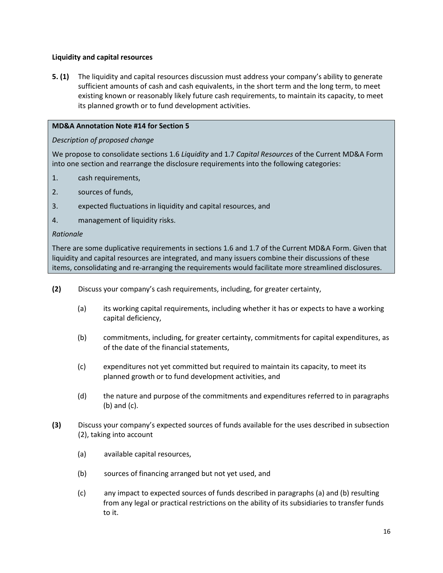### **Liquidity and capital resources**

**5. (1)** The liquidity and capital resources discussion must address your company's ability to generate sufficient amounts of cash and cash equivalents, in the short term and the long term, to meet existing known or reasonably likely future cash requirements, to maintain its capacity, to meet its planned growth or to fund development activities.

## **MD&A Annotation Note #14 for Section 5**

# *Description of proposed change*

We propose to consolidate sections 1.6 *Liquidity* and 1.7 *Capital Resources* of the Current MD&A Form into one section and rearrange the disclosure requirements into the following categories:

- 1. cash requirements,
- 2. sources of funds,
- 3. expected fluctuations in liquidity and capital resources, and
- 4. management of liquidity risks.

### *Rationale*

There are some duplicative requirements in sections 1.6 and 1.7 of the Current MD&A Form. Given that liquidity and capital resources are integrated, and many issuers combine their discussions of these items, consolidating and re-arranging the requirements would facilitate more streamlined disclosures.

- **(2)** Discuss your company's cash requirements, including, for greater certainty,
	- (a) its working capital requirements, including whether it has or expects to have a working capital deficiency,
	- (b) commitments, including, for greater certainty, commitments for capital expenditures, as of the date of the financial statements,
	- (c) expenditures not yet committed but required to maintain its capacity, to meet its planned growth or to fund development activities, and
	- (d) the nature and purpose of the commitments and expenditures referred to in paragraphs (b) and (c).
- **(3)** Discuss your company's expected sources of funds available for the uses described in subsection (2), taking into account
	- (a) available capital resources,
	- (b) sources of financing arranged but not yet used, and
	- (c) any impact to expected sources of funds described in paragraphs (a) and (b) resulting from any legal or practical restrictions on the ability of its subsidiaries to transfer funds to it.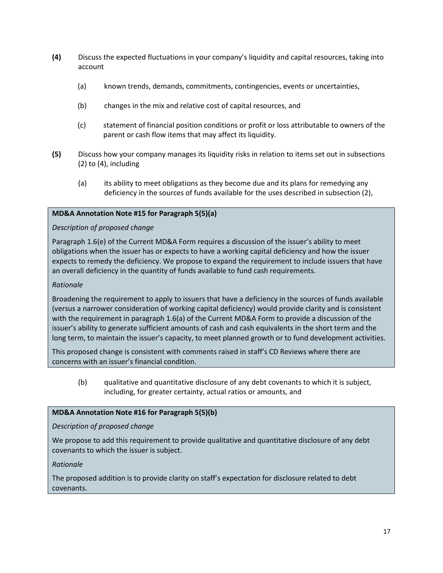- **(4)** Discuss the expected fluctuations in your company's liquidity and capital resources, taking into account
	- (a) known trends, demands, commitments, contingencies, events or uncertainties,
	- (b) changes in the mix and relative cost of capital resources, and
	- (c) statement of financial position conditions or profit or loss attributable to owners of the parent or cash flow items that may affect its liquidity.
- **(5)** Discuss how your company manages its liquidity risks in relation to items set out in subsections (2) to (4), including
	- (a) its ability to meet obligations as they become due and its plans for remedying any deficiency in the sources of funds available for the uses described in subsection (2),

# **MD&A Annotation Note #15 for Paragraph 5(5)(a)**

### *Description of proposed change*

Paragraph 1.6(e) of the Current MD&A Form requires a discussion of the issuer's ability to meet obligations when the issuer has or expects to have a working capital deficiency and how the issuer expects to remedy the deficiency. We propose to expand the requirement to include issuers that have an overall deficiency in the quantity of funds available to fund cash requirements.

## *Rationale*

Broadening the requirement to apply to issuers that have a deficiency in the sources of funds available (versus a narrower consideration of working capital deficiency) would provide clarity and is consistent with the requirement in paragraph 1.6(a) of the Current MD&A Form to provide a discussion of the issuer's ability to generate sufficient amounts of cash and cash equivalents in the short term and the long term, to maintain the issuer's capacity, to meet planned growth or to fund development activities.

This proposed change is consistent with comments raised in staff's CD Reviews where there are concerns with an issuer's financial condition.

(b) qualitative and quantitative disclosure of any debt covenants to which it is subject, including, for greater certainty, actual ratios or amounts, and

### **MD&A Annotation Note #16 for Paragraph 5(5)(b)**

### *Description of proposed change*

We propose to add this requirement to provide qualitative and quantitative disclosure of any debt covenants to which the issuer is subject.

### *Rationale*

The proposed addition is to provide clarity on staff's expectation for disclosure related to debt covenants.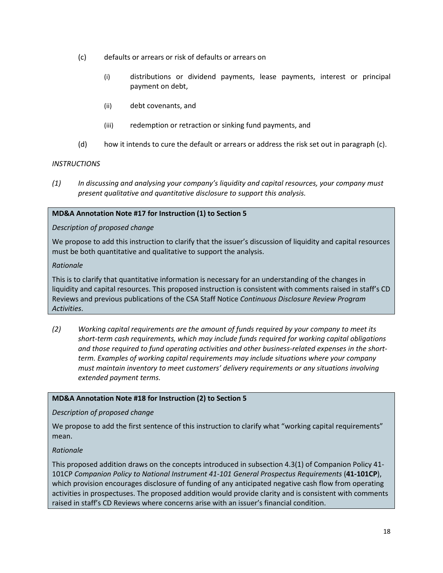- (c) defaults or arrears or risk of defaults or arrears on
	- (i) distributions or dividend payments, lease payments, interest or principal payment on debt,
	- (ii) debt covenants, and
	- (iii) redemption or retraction or sinking fund payments, and
- (d) how it intends to cure the default or arrears or address the risk set out in paragraph (c).

# *INSTRUCTIONS*

*(1) In discussing and analysing your company's liquidity and capital resources, your company must present qualitative and quantitative disclosure to support this analysis.*

# **MD&A Annotation Note #17 for Instruction (1) to Section 5**

# *Description of proposed change*

We propose to add this instruction to clarify that the issuer's discussion of liquidity and capital resources must be both quantitative and qualitative to support the analysis.

### *Rationale*

This is to clarify that quantitative information is necessary for an understanding of the changes in liquidity and capital resources. This proposed instruction is consistent with comments raised in staff's CD Reviews and previous publications of the CSA Staff Notice *Continuous Disclosure Review Program Activities*.

*(2) Working capital requirements are the amount of funds required by your company to meet its short-term cash requirements, which may include funds required for working capital obligations and those required to fund operating activities and other business-related expenses in the shortterm. Examples of working capital requirements may include situations where your company must maintain inventory to meet customers' delivery requirements or any situations involving extended payment terms.*

# **MD&A Annotation Note #18 for Instruction (2) to Section 5**

# *Description of proposed change*

We propose to add the first sentence of this instruction to clarify what "working capital requirements" mean.

# *Rationale*

This proposed addition draws on the concepts introduced in subsection 4.3(1) of Companion Policy 41- 101CP *Companion Policy to National Instrument 41-101 General Prospectus Requirements* (**41-101CP**), which provision encourages disclosure of funding of any anticipated negative cash flow from operating activities in prospectuses. The proposed addition would provide clarity and is consistent with comments raised in staff's CD Reviews where concerns arise with an issuer's financial condition.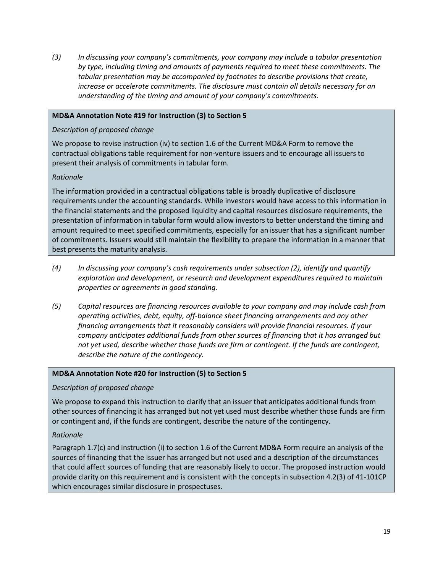*(3) In discussing your company's commitments, your company may include a tabular presentation by type, including timing and amounts of payments required to meet these commitments. The tabular presentation may be accompanied by footnotes to describe provisions that create, increase or accelerate commitments. The disclosure must contain all details necessary for an understanding of the timing and amount of your company's commitments.* 

### **MD&A Annotation Note #19 for Instruction (3) to Section 5**

# *Description of proposed change*

We propose to revise instruction (iv) to section 1.6 of the Current MD&A Form to remove the contractual obligations table requirement for non-venture issuers and to encourage all issuers to present their analysis of commitments in tabular form.

# *Rationale*

The information provided in a contractual obligations table is broadly duplicative of disclosure requirements under the accounting standards. While investors would have access to this information in the financial statements and the proposed liquidity and capital resources disclosure requirements, the presentation of information in tabular form would allow investors to better understand the timing and amount required to meet specified commitments, especially for an issuer that has a significant number of commitments. Issuers would still maintain the flexibility to prepare the information in a manner that best presents the maturity analysis.

- *(4) In discussing your company's cash requirements under subsection (2), identify and quantify exploration and development, or research and development expenditures required to maintain properties or agreements in good standing.*
- *(5) Capital resources are financing resources available to your company and may include cash from operating activities, debt, equity, off-balance sheet financing arrangements and any other financing arrangements that it reasonably considers will provide financial resources. If your company anticipates additional funds from other sources of financing that it has arranged but not yet used, describe whether those funds are firm or contingent. If the funds are contingent, describe the nature of the contingency.*

### **MD&A Annotation Note #20 for Instruction (5) to Section 5**

### *Description of proposed change*

We propose to expand this instruction to clarify that an issuer that anticipates additional funds from other sources of financing it has arranged but not yet used must describe whether those funds are firm or contingent and, if the funds are contingent, describe the nature of the contingency.

# *Rationale*

Paragraph 1.7(c) and instruction (i) to section 1.6 of the Current MD&A Form require an analysis of the sources of financing that the issuer has arranged but not used and a description of the circumstances that could affect sources of funding that are reasonably likely to occur. The proposed instruction would provide clarity on this requirement and is consistent with the concepts in subsection 4.2(3) of 41-101CP which encourages similar disclosure in prospectuses.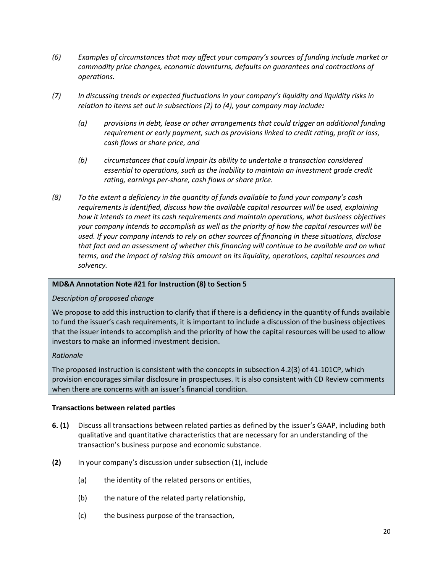- *(6) Examples of circumstances that may affect your company's sources of funding include market or commodity price changes, economic downturns, defaults on guarantees and contractions of operations.*
- *(7) In discussing trends or expected fluctuations in your company's liquidity and liquidity risks in relation to items set out in subsections (2) to (4), your company may include:*
	- *(a) provisions in debt, lease or other arrangements that could trigger an additional funding requirement or early payment, such as provisions linked to credit rating, profit or loss, cash flows or share price, and*
	- *(b) circumstances that could impair its ability to undertake a transaction considered essential to operations, such as the inability to maintain an investment grade credit rating, earnings per-share, cash flows or share price.*
- *(8) To the extent a deficiency in the quantity of funds available to fund your company's cash requirements is identified, discuss how the available capital resources will be used, explaining how it intends to meet its cash requirements and maintain operations, what business objectives your company intends to accomplish as well as the priority of how the capital resources will be used. If your company intends to rely on other sources of financing in these situations, disclose that fact and an assessment of whether this financing will continue to be available and on what terms, and the impact of raising this amount on its liquidity, operations, capital resources and solvency.*

### **MD&A Annotation Note #21 for Instruction (8) to Section 5**

### *Description of proposed change*

We propose to add this instruction to clarify that if there is a deficiency in the quantity of funds available to fund the issuer's cash requirements, it is important to include a discussion of the business objectives that the issuer intends to accomplish and the priority of how the capital resources will be used to allow investors to make an informed investment decision.

### *Rationale*

The proposed instruction is consistent with the concepts in subsection 4.2(3) of 41-101CP, which provision encourages similar disclosure in prospectuses. It is also consistent with CD Review comments when there are concerns with an issuer's financial condition.

#### **Transactions between related parties**

- **6. (1)** Discuss all transactions between related parties as defined by the issuer's GAAP, including both qualitative and quantitative characteristics that are necessary for an understanding of the transaction's business purpose and economic substance.
- **(2)** In your company's discussion under subsection (1), include
	- (a) the identity of the related persons or entities,
	- (b) the nature of the related party relationship,
	- (c) the business purpose of the transaction,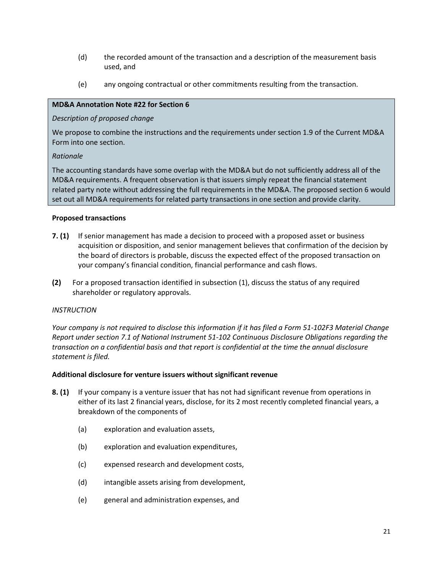- (d) the recorded amount of the transaction and a description of the measurement basis used, and
- (e) any ongoing contractual or other commitments resulting from the transaction.

#### **MD&A Annotation Note #22 for Section 6**

#### *Description of proposed change*

We propose to combine the instructions and the requirements under section 1.9 of the Current MD&A Form into one section.

#### *Rationale*

The accounting standards have some overlap with the MD&A but do not sufficiently address all of the MD&A requirements. A frequent observation is that issuers simply repeat the financial statement related party note without addressing the full requirements in the MD&A. The proposed section 6 would set out all MD&A requirements for related party transactions in one section and provide clarity.

#### **Proposed transactions**

- **7. (1)** If senior management has made a decision to proceed with a proposed asset or business acquisition or disposition, and senior management believes that confirmation of the decision by the board of directors is probable, discuss the expected effect of the proposed transaction on your company's financial condition, financial performance and cash flows.
- **(2)** For a proposed transaction identified in subsection (1), discuss the status of any required shareholder or regulatory approvals.

### *INSTRUCTION*

*Your company is not required to disclose this information if it has filed a Form 51-102F3 Material Change Report under section 7.1 of National Instrument 51-102 Continuous Disclosure Obligations regarding the transaction on a confidential basis and that report is confidential at the time the annual disclosure statement is filed.*

### **Additional disclosure for venture issuers without significant revenue**

- **8. (1)** If your company is a venture issuer that has not had significant revenue from operations in either of its last 2 financial years, disclose, for its 2 most recently completed financial years, a breakdown of the components of
	- (a) exploration and evaluation assets,
	- (b) exploration and evaluation expenditures,
	- (c) expensed research and development costs,
	- (d) intangible assets arising from development,
	- (e) general and administration expenses, and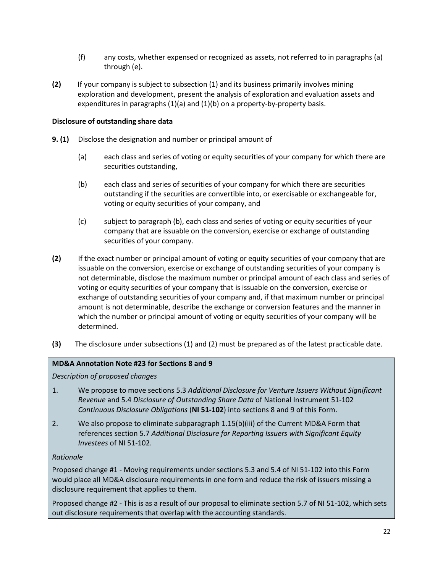- (f) any costs, whether expensed or recognized as assets, not referred to in paragraphs (a) through (e).
- **(2)** If your company is subject to subsection (1) and its business primarily involves mining exploration and development, present the analysis of exploration and evaluation assets and expenditures in paragraphs (1)(a) and (1)(b) on a property-by-property basis.

### **Disclosure of outstanding share data**

- **9. (1)** Disclose the designation and number or principal amount of
	- (a) each class and series of voting or equity securities of your company for which there are securities outstanding,
	- (b) each class and series of securities of your company for which there are securities outstanding if the securities are convertible into, or exercisable or exchangeable for, voting or equity securities of your company, and
	- (c) subject to paragraph (b), each class and series of voting or equity securities of your company that are issuable on the conversion, exercise or exchange of outstanding securities of your company.
- **(2)** If the exact number or principal amount of voting or equity securities of your company that are issuable on the conversion, exercise or exchange of outstanding securities of your company is not determinable, disclose the maximum number or principal amount of each class and series of voting or equity securities of your company that is issuable on the conversion, exercise or exchange of outstanding securities of your company and, if that maximum number or principal amount is not determinable, describe the exchange or conversion features and the manner in which the number or principal amount of voting or equity securities of your company will be determined.
- **(3)** The disclosure under subsections (1) and (2) must be prepared as of the latest practicable date.

#### **MD&A Annotation Note #23 for Sections 8 and 9**

*Description of proposed changes*

- 1. We propose to move sections 5.3 *Additional Disclosure for Venture Issuers Without Significant Revenue* and 5.4 *Disclosure of Outstanding Share Data* of National Instrument 51-102 *Continuous Disclosure Obligations* (**NI 51-102**) into sections 8 and 9 of this Form.
- 2. We also propose to eliminate subparagraph 1.15(b)(iii) of the Current MD&A Form that references section 5.7 *Additional Disclosure for Reporting Issuers with Significant Equity Investees* of NI 51-102.

#### *Rationale*

Proposed change #1 - Moving requirements under sections 5.3 and 5.4 of NI 51-102 into this Form would place all MD&A disclosure requirements in one form and reduce the risk of issuers missing a disclosure requirement that applies to them.

Proposed change #2 - This is as a result of our proposal to eliminate section 5.7 of NI 51-102, which sets out disclosure requirements that overlap with the accounting standards.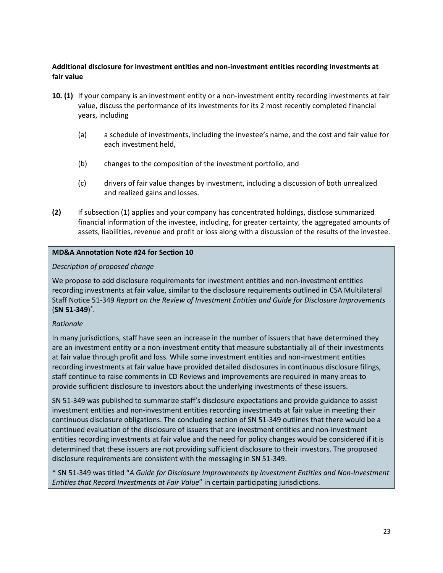# **Additional disclosure for investment entities and non-investment entities recording investments at fair value**

- **10. (1)** If your company is an investment entity or a non-investment entity recording investments at fair value, discuss the performance of its investments for its 2 most recently completed financial years, including
	- (a) a schedule of investments, including the investee's name, and the cost and fair value for each investment held,
	- (b) changes to the composition of the investment portfolio, and
	- (c) drivers of fair value changes by investment, including a discussion of both unrealized and realized gains and losses.
- **(2)** If subsection (1) applies and your company has concentrated holdings, disclose summarized financial information of the investee, including, for greater certainty, the aggregated amounts of assets, liabilities, revenue and profit or loss along with a discussion of the results of the investee.

# **MD&A Annotation Note #24 for Section 10**

# *Description of proposed change*

We propose to add disclosure requirements for investment entities and non-investment entities recording investments at fair value, similar to the disclosure requirements outlined in CSA Multilateral Staff Notice 51-349 *Report on the Review of Investment Entities and Guide for Disclosure Improvements*  (**SN 51-349**) \* .

### *Rationale*

In many jurisdictions, staff have seen an increase in the number of issuers that have determined they are an investment entity or a non-investment entity that measure substantially all of their investments at fair value through profit and loss. While some investment entities and non-investment entities recording investments at fair value have provided detailed disclosures in continuous disclosure filings, staff continue to raise comments in CD Reviews and improvements are required in many areas to provide sufficient disclosure to investors about the underlying investments of these issuers.

SN 51-349 was published to summarize staff's disclosure expectations and provide guidance to assist investment entities and non-investment entities recording investments at fair value in meeting their continuous disclosure obligations. The concluding section of SN 51-349 outlines that there would be a continued evaluation of the disclosure of issuers that are investment entities and non-investment entities recording investments at fair value and the need for policy changes would be considered if it is determined that these issuers are not providing sufficient disclosure to their investors. The proposed disclosure requirements are consistent with the messaging in SN 51-349.

\* SN 51-349 was titled "*A Guide for Disclosure Improvements by Investment Entities and Non-Investment Entities that Record Investments at Fair Value*" in certain participating jurisdictions.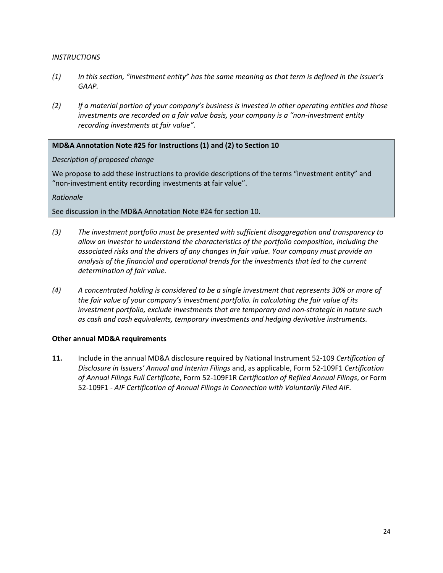#### *INSTRUCTIONS*

- *(1) In this section, "investment entity" has the same meaning as that term is defined in the issuer's GAAP.*
- *(2) If a material portion of your company's business is invested in other operating entities and those investments are recorded on a fair value basis, your company is a "non-investment entity recording investments at fair value".*

# **MD&A Annotation Note #25 for Instructions (1) and (2) to Section 10**

# *Description of proposed change*

We propose to add these instructions to provide descriptions of the terms "investment entity" and "non-investment entity recording investments at fair value".

*Rationale*

See discussion in the MD&A Annotation Note #24 for section 10.

- *(3) The investment portfolio must be presented with sufficient disaggregation and transparency to allow an investor to understand the characteristics of the portfolio composition, including the associated risks and the drivers of any changes in fair value. Your company must provide an analysis of the financial and operational trends for the investments that led to the current determination of fair value.*
- *(4) A concentrated holding is considered to be a single investment that represents 30% or more of the fair value of your company's investment portfolio. In calculating the fair value of its investment portfolio, exclude investments that are temporary and non-strategic in nature such as cash and cash equivalents, temporary investments and hedging derivative instruments.*

### **Other annual MD&A requirements**

**11.** Include in the annual MD&A disclosure required by National Instrument 52-109 *Certification of Disclosure in Issuers' Annual and Interim Filings* and, as applicable, Form 52-109F1 *Certification of Annual Filings Full Certificate*, Form 52-109F1R *Certification of Refiled Annual Filings*, or Form 52-109F1 - *AIF Certification of Annual Filings in Connection with Voluntarily Filed AIF*.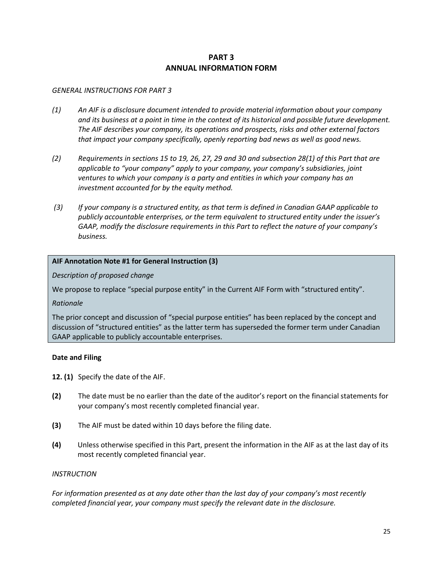# **PART 3 ANNUAL INFORMATION FORM**

#### *GENERAL INSTRUCTIONS FOR PART 3*

- *(1) An AIF is a disclosure document intended to provide material information about your company and its business at a point in time in the context of its historical and possible future development. The AIF describes your company, its operations and prospects, risks and other external factors that impact your company specifically, openly reporting bad news as well as good news.*
- *(2) Requirements in sections 15 to 19, 26, 27, 29 and 30 and subsection 28(1) of this Part that are applicable to "your company" apply to your company, your company's subsidiaries, joint ventures to which your company is a party and entities in which your company has an investment accounted for by the equity method.*
- *(3) If your company is a structured entity, as that term is defined in Canadian GAAP applicable to publicly accountable enterprises, or the term equivalent to structured entity under the issuer's GAAP, modify the disclosure requirements in this Part to reflect the nature of your company's business.*

### **AIF Annotation Note #1 for General Instruction (3)**

*Description of proposed change*

We propose to replace "special purpose entity" in the Current AIF Form with "structured entity".

*Rationale*

The prior concept and discussion of "special purpose entities" has been replaced by the concept and discussion of "structured entities" as the latter term has superseded the former term under Canadian GAAP applicable to publicly accountable enterprises.

#### **Date and Filing**

**12. (1)** Specify the date of the AIF.

- **(2)** The date must be no earlier than the date of the auditor's report on the financial statements for your company's most recently completed financial year.
- **(3)** The AIF must be dated within 10 days before the filing date.
- **(4)** Unless otherwise specified in this Part, present the information in the AIF as at the last day of its most recently completed financial year.

#### *INSTRUCTION*

*For information presented as at any date other than the last day of your company's most recently completed financial year, your company must specify the relevant date in the disclosure.*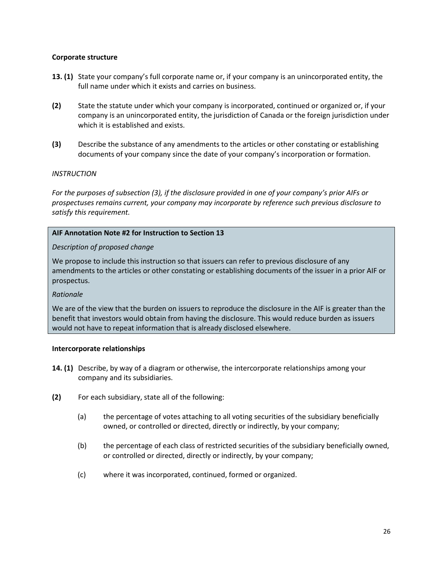### **Corporate structure**

- **13. (1)** State your company's full corporate name or, if your company is an unincorporated entity, the full name under which it exists and carries on business.
- **(2)** State the statute under which your company is incorporated, continued or organized or, if your company is an unincorporated entity, the jurisdiction of Canada or the foreign jurisdiction under which it is established and exists.
- **(3)** Describe the substance of any amendments to the articles or other constating or establishing documents of your company since the date of your company's incorporation or formation.

#### *INSTRUCTION*

*For the purposes of subsection (3), if the disclosure provided in one of your company's prior AIFs or prospectuses remains current, your company may incorporate by reference such previous disclosure to satisfy this requirement.* 

#### **AIF Annotation Note #2 for Instruction to Section 13**

#### *Description of proposed change*

We propose to include this instruction so that issuers can refer to previous disclosure of any amendments to the articles or other constating or establishing documents of the issuer in a prior AIF or prospectus.

### *Rationale*

We are of the view that the burden on issuers to reproduce the disclosure in the AIF is greater than the benefit that investors would obtain from having the disclosure. This would reduce burden as issuers would not have to repeat information that is already disclosed elsewhere.

#### **Intercorporate relationships**

- **14. (1)** Describe, by way of a diagram or otherwise, the intercorporate relationships among your company and its subsidiaries.
- **(2)** For each subsidiary, state all of the following:
	- (a) the percentage of votes attaching to all voting securities of the subsidiary beneficially owned, or controlled or directed, directly or indirectly, by your company;
	- (b) the percentage of each class of restricted securities of the subsidiary beneficially owned, or controlled or directed, directly or indirectly, by your company;
	- (c) where it was incorporated, continued, formed or organized.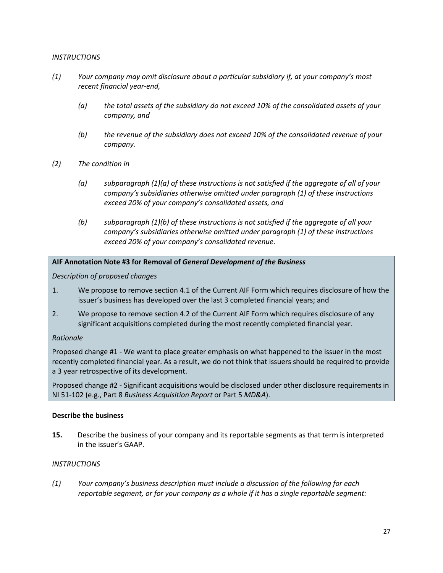#### *INSTRUCTIONS*

- *(1) Your company may omit disclosure about a particular subsidiary if, at your company's most recent financial year-end,* 
	- *(a) the total assets of the subsidiary do not exceed 10% of the consolidated assets of your company, and*
	- *(b) the revenue of the subsidiary does not exceed 10% of the consolidated revenue of your company.*
- *(2) The condition in*
	- *(a) subparagraph (1)(a) of these instructions is not satisfied if the aggregate of all of your company's subsidiaries otherwise omitted under paragraph (1) of these instructions exceed 20% of your company's consolidated assets, and*
	- *(b) subparagraph (1)(b) of these instructions is not satisfied if the aggregate of all your company's subsidiaries otherwise omitted under paragraph (1) of these instructions exceed 20% of your company's consolidated revenue.*

### **AIF Annotation Note #3 for Removal of** *General Development of the Business*

*Description of proposed changes*

- 1. We propose to remove section 4.1 of the Current AIF Form which requires disclosure of how the issuer's business has developed over the last 3 completed financial years; and
- 2. We propose to remove section 4.2 of the Current AIF Form which requires disclosure of any significant acquisitions completed during the most recently completed financial year.

### *Rationale*

Proposed change #1 - We want to place greater emphasis on what happened to the issuer in the most recently completed financial year. As a result, we do not think that issuers should be required to provide a 3 year retrospective of its development.

Proposed change #2 - Significant acquisitions would be disclosed under other disclosure requirements in NI 51-102 (e.g., Part 8 *Business Acquisition Report* or Part 5 *MD&A*).

#### **Describe the business**

**15.** Describe the business of your company and its reportable segments as that term is interpreted in the issuer's GAAP.

### *INSTRUCTIONS*

*(1) Your company's business description must include a discussion of the following for each reportable segment, or for your company as a whole if it has a single reportable segment:*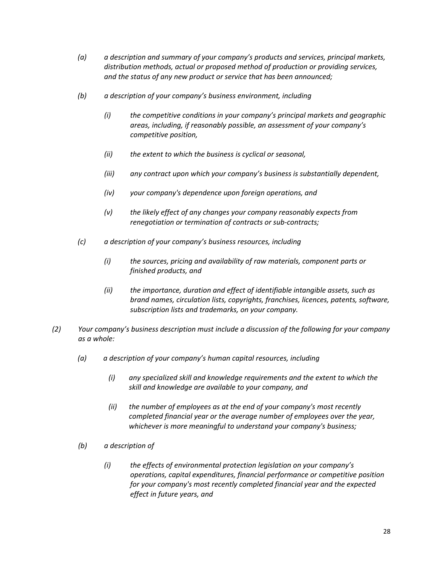- *(a) a description and summary of your company's products and services, principal markets, distribution methods, actual or proposed method of production or providing services, and the status of any new product or service that has been announced;*
- *(b) a description of your company's business environment, including*
	- *(i) the competitive conditions in your company's principal markets and geographic areas, including, if reasonably possible, an assessment of your company's competitive position,*
	- *(ii) the extent to which the business is cyclical or seasonal,*
	- *(iii) any contract upon which your company's business is substantially dependent,*
	- *(iv) your company's dependence upon foreign operations, and*
	- *(v) the likely effect of any changes your company reasonably expects from renegotiation or termination of contracts or sub-contracts;*
- *(c) a description of your company's business resources, including*
	- *(i) the sources, pricing and availability of raw materials, component parts or finished products, and*
	- *(ii) the importance, duration and effect of identifiable intangible assets, such as brand names, circulation lists, copyrights, franchises, licences, patents, software, subscription lists and trademarks, on your company.*
- *(2) Your company's business description must include a discussion of the following for your company as a whole:*
	- *(a) a description of your company's human capital resources, including*
		- *(i) any specialized skill and knowledge requirements and the extent to which the skill and knowledge are available to your company, and*
		- *(ii) the number of employees as at the end of your company's most recently completed financial year or the average number of employees over the year, whichever is more meaningful to understand your company's business;*
	- *(b) a description of* 
		- *(i) the effects of environmental protection legislation on your company's operations, capital expenditures, financial performance or competitive position for your company's most recently completed financial year and the expected effect in future years, and*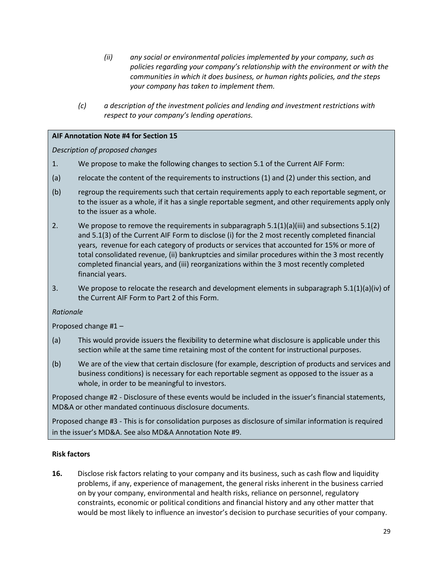- *(ii) any social or environmental policies implemented by your company, such as policies regarding your company's relationship with the environment or with the communities in which it does business, or human rights policies, and the steps your company has taken to implement them.*
- *(c) a description of the investment policies and lending and investment restrictions with respect to your company's lending operations.*

# **AIF Annotation Note #4 for Section 15**

*Description of proposed changes*

- 1. We propose to make the following changes to section 5.1 of the Current AIF Form:
- (a) relocate the content of the requirements to instructions (1) and (2) under this section, and
- (b) regroup the requirements such that certain requirements apply to each reportable segment, or to the issuer as a whole, if it has a single reportable segment, and other requirements apply only to the issuer as a whole.
- 2. We propose to remove the requirements in subparagraph  $5.1(1)(a)(iii)$  and subsections  $5.1(2)$ and 5.1(3) of the Current AIF Form to disclose (i) for the 2 most recently completed financial years, revenue for each category of products or services that accounted for 15% or more of total consolidated revenue, (ii) bankruptcies and similar procedures within the 3 most recently completed financial years, and (iii) reorganizations within the 3 most recently completed financial years.
- 3. We propose to relocate the research and development elements in subparagraph 5.1(1)(a)(iv) of the Current AIF Form to Part 2 of this Form.

*Rationale*

Proposed change #1 –

- (a) This would provide issuers the flexibility to determine what disclosure is applicable under this section while at the same time retaining most of the content for instructional purposes.
- (b) We are of the view that certain disclosure (for example, description of products and services and business conditions) is necessary for each reportable segment as opposed to the issuer as a whole, in order to be meaningful to investors.

Proposed change #2 - Disclosure of these events would be included in the issuer's financial statements, MD&A or other mandated continuous disclosure documents.

Proposed change #3 - This is for consolidation purposes as disclosure of similar information is required in the issuer's MD&A. See also MD&A Annotation Note #9.

### **Risk factors**

**16.** Disclose risk factors relating to your company and its business, such as cash flow and liquidity problems, if any, experience of management, the general risks inherent in the business carried on by your company, environmental and health risks, reliance on personnel, regulatory constraints, economic or political conditions and financial history and any other matter that would be most likely to influence an investor's decision to purchase securities of your company.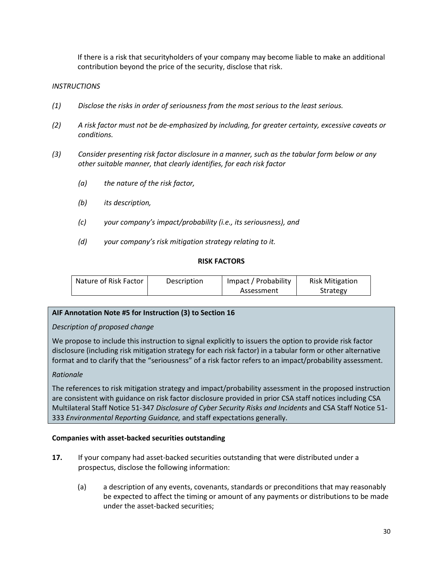If there is a risk that securityholders of your company may become liable to make an additional contribution beyond the price of the security, disclose that risk.

## *INSTRUCTIONS*

- *(1) Disclose the risks in order of seriousness from the most serious to the least serious.*
- *(2) A risk factor must not be de-emphasized by including, for greater certainty, excessive caveats or conditions.*
- *(3) Consider presenting risk factor disclosure in a manner, such as the tabular form below or any other suitable manner, that clearly identifies, for each risk factor*
	- *(a) the nature of the risk factor,*
	- *(b) its description,*
	- *(c) your company's impact/probability (i.e., its seriousness), and*
	- *(d) your company's risk mitigation strategy relating to it.*

### **RISK FACTORS**

| Nature of Risk Factor | Description | Impact / Probability | <b>Risk Mitigation</b> |
|-----------------------|-------------|----------------------|------------------------|
|                       |             | Assessment           | Strategy               |

# **AIF Annotation Note #5 for Instruction (3) to Section 16**

### *Description of proposed change*

We propose to include this instruction to signal explicitly to issuers the option to provide risk factor disclosure (including risk mitigation strategy for each risk factor) in a tabular form or other alternative format and to clarify that the "seriousness" of a risk factor refers to an impact/probability assessment.

### *Rationale*

The references to risk mitigation strategy and impact/probability assessment in the proposed instruction are consistent with guidance on risk factor disclosure provided in prior CSA staff notices including CSA Multilateral Staff Notice 51-347 *Disclosure of Cyber Security Risks and Incidents* and CSA Staff Notice 51- 333 *Environmental Reporting Guidance,* and staff expectations generally.

### **Companies with asset-backed securities outstanding**

- **17.** If your company had asset-backed securities outstanding that were distributed under a prospectus, disclose the following information:
	- (a) a description of any events, covenants, standards or preconditions that may reasonably be expected to affect the timing or amount of any payments or distributions to be made under the asset-backed securities;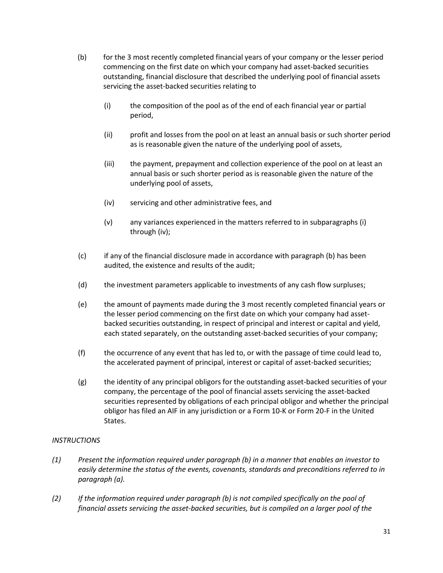- (b) for the 3 most recently completed financial years of your company or the lesser period commencing on the first date on which your company had asset-backed securities outstanding, financial disclosure that described the underlying pool of financial assets servicing the asset-backed securities relating to
	- (i) the composition of the pool as of the end of each financial year or partial period,
	- (ii) profit and losses from the pool on at least an annual basis or such shorter period as is reasonable given the nature of the underlying pool of assets,
	- (iii) the payment, prepayment and collection experience of the pool on at least an annual basis or such shorter period as is reasonable given the nature of the underlying pool of assets,
	- (iv) servicing and other administrative fees, and
	- (v) any variances experienced in the matters referred to in subparagraphs (i) through (iv);
- (c) if any of the financial disclosure made in accordance with paragraph (b) has been audited, the existence and results of the audit;
- (d) the investment parameters applicable to investments of any cash flow surpluses;
- (e) the amount of payments made during the 3 most recently completed financial years or the lesser period commencing on the first date on which your company had assetbacked securities outstanding, in respect of principal and interest or capital and yield, each stated separately, on the outstanding asset-backed securities of your company;
- (f) the occurrence of any event that has led to, or with the passage of time could lead to, the accelerated payment of principal, interest or capital of asset-backed securities;
- (g) the identity of any principal obligors for the outstanding asset-backed securities of your company, the percentage of the pool of financial assets servicing the asset-backed securities represented by obligations of each principal obligor and whether the principal obligor has filed an AIF in any jurisdiction or a Form 10-K or Form 20-F in the United States.

# *INSTRUCTIONS*

- *(1) Present the information required under paragraph (b) in a manner that enables an investor to easily determine the status of the events, covenants, standards and preconditions referred to in paragraph (a).*
- *(2) If the information required under paragraph (b) is not compiled specifically on the pool of financial assets servicing the asset-backed securities, but is compiled on a larger pool of the*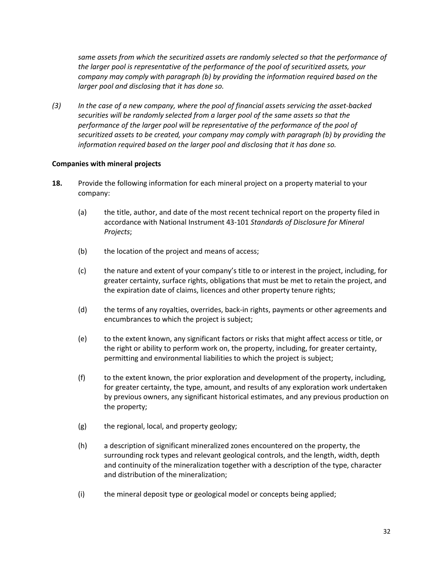*same assets from which the securitized assets are randomly selected so that the performance of the larger pool is representative of the performance of the pool of securitized assets, your company may comply with paragraph (b) by providing the information required based on the larger pool and disclosing that it has done so.*

*(3) In the case of a new company, where the pool of financial assets servicing the asset-backed securities will be randomly selected from a larger pool of the same assets so that the performance of the larger pool will be representative of the performance of the pool of securitized assets to be created, your company may comply with paragraph (b) by providing the information required based on the larger pool and disclosing that it has done so.*

### **Companies with mineral projects**

- **18.** Provide the following information for each mineral project on a property material to your company:
	- (a) the title, author, and date of the most recent technical report on the property filed in accordance with National Instrument 43-101 *Standards of Disclosure for Mineral Projects*;
	- (b) the location of the project and means of access;
	- (c) the nature and extent of your company's title to or interest in the project, including, for greater certainty, surface rights, obligations that must be met to retain the project, and the expiration date of claims, licences and other property tenure rights;
	- (d) the terms of any royalties, overrides, back-in rights, payments or other agreements and encumbrances to which the project is subject;
	- (e) to the extent known, any significant factors or risks that might affect access or title, or the right or ability to perform work on, the property, including, for greater certainty, permitting and environmental liabilities to which the project is subject;
	- (f) to the extent known, the prior exploration and development of the property, including, for greater certainty, the type, amount, and results of any exploration work undertaken by previous owners, any significant historical estimates, and any previous production on the property;
	- (g) the regional, local, and property geology;
	- (h) a description of significant mineralized zones encountered on the property, the surrounding rock types and relevant geological controls, and the length, width, depth and continuity of the mineralization together with a description of the type, character and distribution of the mineralization;
	- (i) the mineral deposit type or geological model or concepts being applied;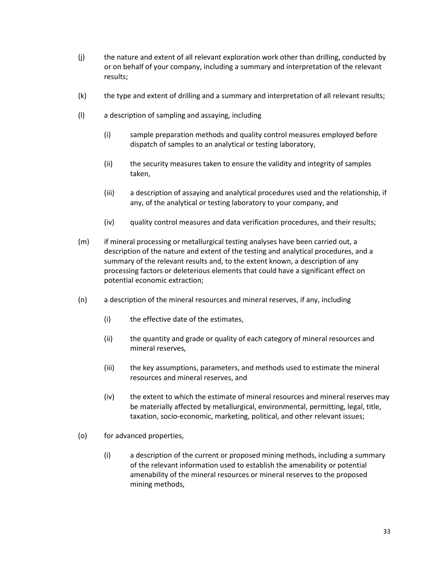- (j) the nature and extent of all relevant exploration work other than drilling, conducted by or on behalf of your company, including a summary and interpretation of the relevant results;
- (k) the type and extent of drilling and a summary and interpretation of all relevant results;
- (l) a description of sampling and assaying, including
	- (i) sample preparation methods and quality control measures employed before dispatch of samples to an analytical or testing laboratory,
	- (ii) the security measures taken to ensure the validity and integrity of samples taken,
	- (iii) a description of assaying and analytical procedures used and the relationship, if any, of the analytical or testing laboratory to your company, and
	- (iv) quality control measures and data verification procedures, and their results;
- (m) if mineral processing or metallurgical testing analyses have been carried out, a description of the nature and extent of the testing and analytical procedures, and a summary of the relevant results and, to the extent known, a description of any processing factors or deleterious elements that could have a significant effect on potential economic extraction;
- (n) a description of the mineral resources and mineral reserves, if any, including
	- (i) the effective date of the estimates,
	- (ii) the quantity and grade or quality of each category of mineral resources and mineral reserves,
	- (iii) the key assumptions, parameters, and methods used to estimate the mineral resources and mineral reserves, and
	- (iv) the extent to which the estimate of mineral resources and mineral reserves may be materially affected by metallurgical, environmental, permitting, legal, title, taxation, socio-economic, marketing, political, and other relevant issues;
- (o) for advanced properties,
	- (i) a description of the current or proposed mining methods, including a summary of the relevant information used to establish the amenability or potential amenability of the mineral resources or mineral reserves to the proposed mining methods,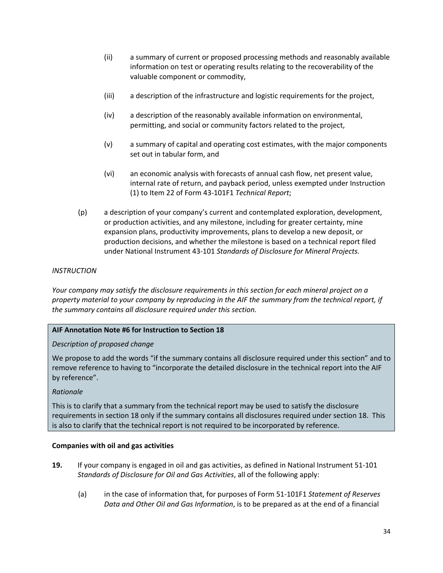- (ii) a summary of current or proposed processing methods and reasonably available information on test or operating results relating to the recoverability of the valuable component or commodity,
- (iii) a description of the infrastructure and logistic requirements for the project,
- (iv) a description of the reasonably available information on environmental, permitting, and social or community factors related to the project,
- (v) a summary of capital and operating cost estimates, with the major components set out in tabular form, and
- (vi) an economic analysis with forecasts of annual cash flow, net present value, internal rate of return, and payback period, unless exempted under Instruction (1) to Item 22 of Form 43-101F1 *Technical Report*;
- (p) a description of your company's current and contemplated exploration, development, or production activities, and any milestone, including for greater certainty, mine expansion plans, productivity improvements, plans to develop a new deposit, or production decisions, and whether the milestone is based on a technical report filed under National Instrument 43-101 *Standards of Disclosure for Mineral Projects.*

# *INSTRUCTION*

*Your company may satisfy the disclosure requirements in this section for each mineral project on a property material to your company by reproducing in the AIF the summary from the technical report, if the summary contains all disclosure required under this section.*

### **AIF Annotation Note #6 for Instruction to Section 18**

### *Description of proposed change*

We propose to add the words "if the summary contains all disclosure required under this section" and to remove reference to having to "incorporate the detailed disclosure in the technical report into the AIF by reference".

### *Rationale*

This is to clarify that a summary from the technical report may be used to satisfy the disclosure requirements in section 18 only if the summary contains all disclosures required under section 18. This is also to clarify that the technical report is not required to be incorporated by reference.

### **Companies with oil and gas activities**

- **19.** If your company is engaged in oil and gas activities, as defined in National Instrument 51-101 *Standards of Disclosure for Oil and Gas Activities*, all of the following apply:
	- (a) in the case of information that, for purposes of Form 51-101F1 *Statement of Reserves Data and Other Oil and Gas Information*, is to be prepared as at the end of a financial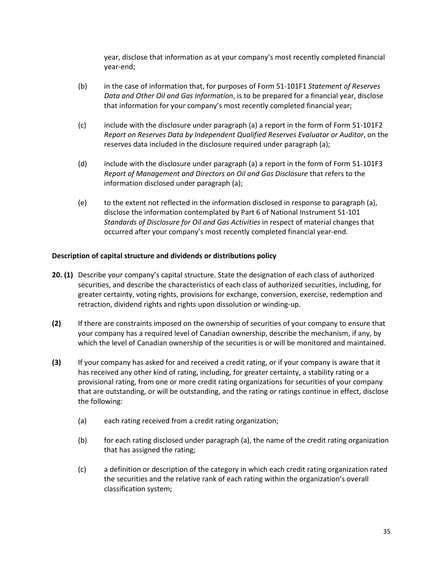year, disclose that information as at your company's most recently completed financial year-end;

- (b) in the case of information that, for purposes of Form 51-101F1 *Statement of Reserves Data and Other Oil and Gas Information*, is to be prepared for a financial year, disclose that information for your company's most recently completed financial year;
- (c) include with the disclosure under paragraph (a) a report in the form of Form 51-101F2 *Report on Reserves Data by Independent Qualified Reserves Evaluator or Auditor*, on the reserves data included in the disclosure required under paragraph (a);
- (d) include with the disclosure under paragraph (a) a report in the form of Form 51-101F3 *Report of Management and Directors on Oil and Gas Disclosure* that refers to the information disclosed under paragraph (a);
- (e) to the extent not reflected in the information disclosed in response to paragraph (a), disclose the information contemplated by Part 6 of National Instrument 51-101 *Standards of Disclosure for Oil and Gas Activities* in respect of material changes that occurred after your company's most recently completed financial year-end.

### **Description of capital structure and dividends or distributions policy**

- **20. (1)** Describe your company's capital structure. State the designation of each class of authorized securities, and describe the characteristics of each class of authorized securities, including, for greater certainty, voting rights, provisions for exchange, conversion, exercise, redemption and retraction, dividend rights and rights upon dissolution or winding-up.
- **(2)** If there are constraints imposed on the ownership of securities of your company to ensure that your company has a required level of Canadian ownership, describe the mechanism, if any, by which the level of Canadian ownership of the securities is or will be monitored and maintained.
- **(3)** If your company has asked for and received a credit rating, or if your company is aware that it has received any other kind of rating, including, for greater certainty, a stability rating or a provisional rating, from one or more credit rating organizations for securities of your company that are outstanding, or will be outstanding, and the rating or ratings continue in effect, disclose the following:
	- (a) each rating received from a credit rating organization;
	- (b) for each rating disclosed under paragraph (a), the name of the credit rating organization that has assigned the rating;
	- (c) a definition or description of the category in which each credit rating organization rated the securities and the relative rank of each rating within the organization's overall classification system;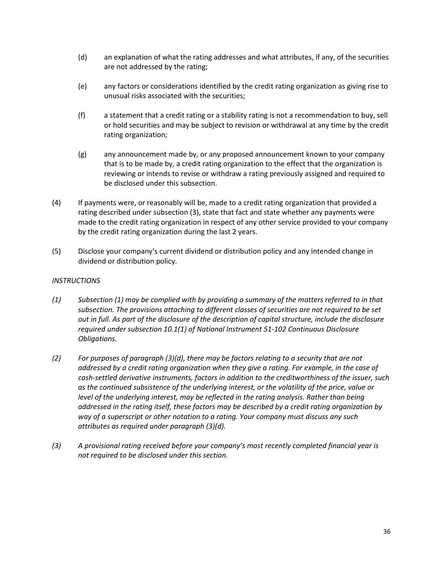- (d) an explanation of what the rating addresses and what attributes, if any, of the securities are not addressed by the rating;
- (e) any factors or considerations identified by the credit rating organization as giving rise to unusual risks associated with the securities;
- (f) a statement that a credit rating or a stability rating is not a recommendation to buy, sell or hold securities and may be subject to revision or withdrawal at any time by the credit rating organization;
- (g) any announcement made by, or any proposed announcement known to your company that is to be made by, a credit rating organization to the effect that the organization is reviewing or intends to revise or withdraw a rating previously assigned and required to be disclosed under this subsection.
- (4) If payments were, or reasonably will be, made to a credit rating organization that provided a rating described under subsection (3), state that fact and state whether any payments were made to the credit rating organization in respect of any other service provided to your company by the credit rating organization during the last 2 years.
- (5) Disclose your company's current dividend or distribution policy and any intended change in dividend or distribution policy.

# *INSTRUCTIONS*

- *(1) Subsection (1) may be complied with by providing a summary of the matters referred to in that subsection. The provisions attaching to different classes of securities are not required to be set out in full. As part of the disclosure of the description of capital structure, include the disclosure required under subsection 10.1(1) of National Instrument 51-102 Continuous Disclosure Obligations.*
- *(2) For purposes of paragraph (3)(d), there may be factors relating to a security that are not addressed by a credit rating organization when they give a rating. For example, in the case of cash-settled derivative instruments, factors in addition to the creditworthiness of the issuer, such as the continued subsistence of the underlying interest, or the volatility of the price, value or level of the underlying interest, may be reflected in the rating analysis. Rather than being addressed in the rating itself, these factors may be described by a credit rating organization by way of a superscript or other notation to a rating. Your company must discuss any such attributes as required under paragraph (3)(d).*
- *(3) A provisional rating received before your company's most recently completed financial year is not required to be disclosed under this section.*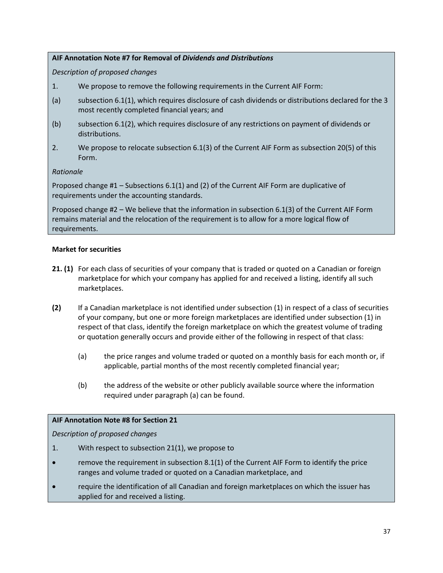# **AIF Annotation Note #7 for Removal of** *Dividends and Distributions*

*Description of proposed changes*

- 1. We propose to remove the following requirements in the Current AIF Form:
- (a) subsection 6.1(1), which requires disclosure of cash dividends or distributions declared for the 3 most recently completed financial years; and
- (b) subsection 6.1(2), which requires disclosure of any restrictions on payment of dividends or distributions.
- 2. We propose to relocate subsection 6.1(3) of the Current AIF Form as subsection 20(5) of this Form.

# *Rationale*

Proposed change #1 – Subsections 6.1(1) and (2) of the Current AIF Form are duplicative of requirements under the accounting standards.

Proposed change #2 – We believe that the information in subsection 6.1(3) of the Current AIF Form remains material and the relocation of the requirement is to allow for a more logical flow of requirements.

# **Market for securities**

- **21. (1)** For each class of securities of your company that is traded or quoted on a Canadian or foreign marketplace for which your company has applied for and received a listing, identify all such marketplaces.
- **(2)** If a Canadian marketplace is not identified under subsection (1) in respect of a class of securities of your company, but one or more foreign marketplaces are identified under subsection (1) in respect of that class, identify the foreign marketplace on which the greatest volume of trading or quotation generally occurs and provide either of the following in respect of that class:
	- (a) the price ranges and volume traded or quoted on a monthly basis for each month or, if applicable, partial months of the most recently completed financial year;
	- (b) the address of the website or other publicly available source where the information required under paragraph (a) can be found.

### **AIF Annotation Note #8 for Section 21**

*Description of proposed changes*

- 1. With respect to subsection 21(1), we propose to
- remove the requirement in subsection 8.1(1) of the Current AIF Form to identify the price ranges and volume traded or quoted on a Canadian marketplace, and
- require the identification of all Canadian and foreign marketplaces on which the issuer has applied for and received a listing.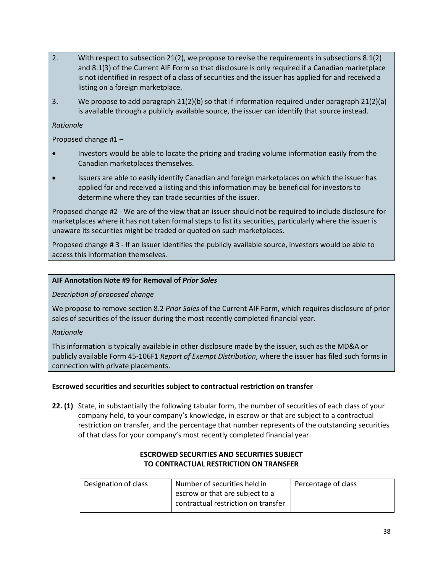- 2. With respect to subsection 21(2), we propose to revise the requirements in subsections 8.1(2) and 8.1(3) of the Current AIF Form so that disclosure is only required if a Canadian marketplace is not identified in respect of a class of securities and the issuer has applied for and received a listing on a foreign marketplace.
- 3. We propose to add paragraph 21(2)(b) so that if information required under paragraph 21(2)(a) is available through a publicly available source, the issuer can identify that source instead.

# *Rationale*

Proposed change #1 –

- Investors would be able to locate the pricing and trading volume information easily from the Canadian marketplaces themselves.
- Issuers are able to easily identify Canadian and foreign marketplaces on which the issuer has applied for and received a listing and this information may be beneficial for investors to determine where they can trade securities of the issuer.

Proposed change #2 - We are of the view that an issuer should not be required to include disclosure for marketplaces where it has not taken formal steps to list its securities, particularly where the issuer is unaware its securities might be traded or quoted on such marketplaces.

Proposed change # 3 - If an issuer identifies the publicly available source, investors would be able to access this information themselves.

# **AIF Annotation Note #9 for Removal of** *Prior Sales*

*Description of proposed change*

We propose to remove section 8.2 *Prior Sales* of the Current AIF Form, which requires disclosure of prior sales of securities of the issuer during the most recently completed financial year.

### *Rationale*

This information is typically available in other disclosure made by the issuer, such as the MD&A or publicly available Form 45-106F1 *Report of Exempt Distribution*, where the issuer has filed such forms in connection with private placements.

### **Escrowed securities and securities subject to contractual restriction on transfer**

**22. (1)** State, in substantially the following tabular form, the number of securities of each class of your company held, to your company's knowledge, in escrow or that are subject to a contractual restriction on transfer, and the percentage that number represents of the outstanding securities of that class for your company's most recently completed financial year.

| Designation of class | Number of securities held in        | Percentage of class |
|----------------------|-------------------------------------|---------------------|
|                      | escrow or that are subject to a     |                     |
|                      | contractual restriction on transfer |                     |
|                      |                                     |                     |

# **ESCROWED SECURITIES AND SECURITIES SUBJECT TO CONTRACTUAL RESTRICTION ON TRANSFER**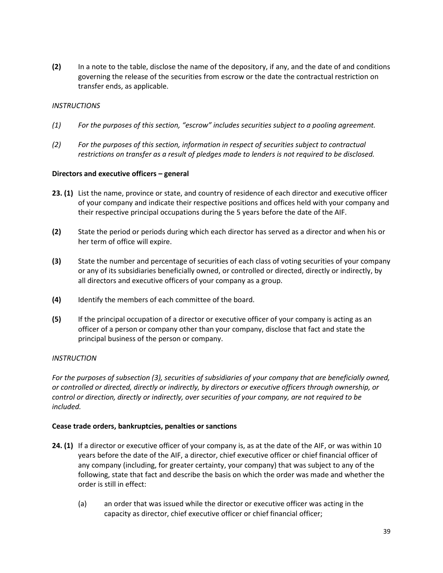**(2)** In a note to the table, disclose the name of the depository, if any, and the date of and conditions governing the release of the securities from escrow or the date the contractual restriction on transfer ends, as applicable.

## *INSTRUCTIONS*

- *(1) For the purposes of this section, "escrow" includes securities subject to a pooling agreement.*
- *(2) For the purposes of this section, information in respect of securities subject to contractual restrictions on transfer as a result of pledges made to lenders is not required to be disclosed.*

### **Directors and executive officers – general**

- **23. (1)** List the name, province or state, and country of residence of each director and executive officer of your company and indicate their respective positions and offices held with your company and their respective principal occupations during the 5 years before the date of the AIF.
- **(2)** State the period or periods during which each director has served as a director and when his or her term of office will expire.
- **(3)** State the number and percentage of securities of each class of voting securities of your company or any of its subsidiaries beneficially owned, or controlled or directed, directly or indirectly, by all directors and executive officers of your company as a group.
- **(4)** Identify the members of each committee of the board.
- **(5)** If the principal occupation of a director or executive officer of your company is acting as an officer of a person or company other than your company, disclose that fact and state the principal business of the person or company.

### *INSTRUCTION*

*For the purposes of subsection (3), securities of subsidiaries of your company that are beneficially owned, or controlled or directed, directly or indirectly, by directors or executive officers through ownership, or control or direction, directly or indirectly, over securities of your company, are not required to be included.* 

### **Cease trade orders, bankruptcies, penalties or sanctions**

- **24. (1)** If a director or executive officer of your company is, as at the date of the AIF, or was within 10 years before the date of the AIF, a director, chief executive officer or chief financial officer of any company (including, for greater certainty, your company) that was subject to any of the following, state that fact and describe the basis on which the order was made and whether the order is still in effect:
	- (a) an order that was issued while the director or executive officer was acting in the capacity as director, chief executive officer or chief financial officer;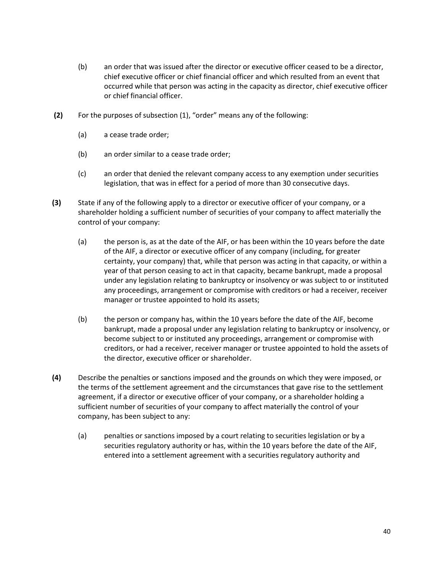- (b) an order that was issued after the director or executive officer ceased to be a director, chief executive officer or chief financial officer and which resulted from an event that occurred while that person was acting in the capacity as director, chief executive officer or chief financial officer.
- **(2)** For the purposes of subsection (1), "order" means any of the following:
	- (a) a cease trade order;
	- (b) an order similar to a cease trade order;
	- (c) an order that denied the relevant company access to any exemption under securities legislation, that was in effect for a period of more than 30 consecutive days.
- **(3)** State if any of the following apply to a director or executive officer of your company, or a shareholder holding a sufficient number of securities of your company to affect materially the control of your company:
	- (a) the person is, as at the date of the AIF, or has been within the 10 years before the date of the AIF, a director or executive officer of any company (including, for greater certainty, your company) that, while that person was acting in that capacity, or within a year of that person ceasing to act in that capacity, became bankrupt, made a proposal under any legislation relating to bankruptcy or insolvency or was subject to or instituted any proceedings, arrangement or compromise with creditors or had a receiver, receiver manager or trustee appointed to hold its assets;
	- (b) the person or company has, within the 10 years before the date of the AIF, become bankrupt, made a proposal under any legislation relating to bankruptcy or insolvency, or become subject to or instituted any proceedings, arrangement or compromise with creditors, or had a receiver, receiver manager or trustee appointed to hold the assets of the director, executive officer or shareholder.
- **(4)** Describe the penalties or sanctions imposed and the grounds on which they were imposed, or the terms of the settlement agreement and the circumstances that gave rise to the settlement agreement, if a director or executive officer of your company, or a shareholder holding a sufficient number of securities of your company to affect materially the control of your company, has been subject to any:
	- (a) penalties or sanctions imposed by a court relating to securities legislation or by a securities regulatory authority or has, within the 10 years before the date of the AIF, entered into a settlement agreement with a securities regulatory authority and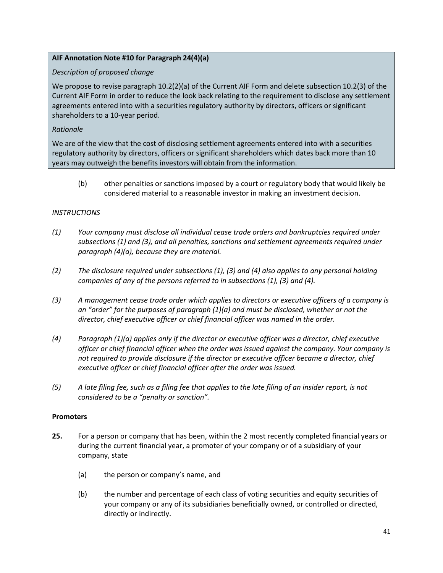# **AIF Annotation Note #10 for Paragraph 24(4)(a)**

## *Description of proposed change*

We propose to revise paragraph 10.2(2)(a) of the Current AIF Form and delete subsection 10.2(3) of the Current AIF Form in order to reduce the look back relating to the requirement to disclose any settlement agreements entered into with a securities regulatory authority by directors, officers or significant shareholders to a 10-year period.

# *Rationale*

We are of the view that the cost of disclosing settlement agreements entered into with a securities regulatory authority by directors, officers or significant shareholders which dates back more than 10 years may outweigh the benefits investors will obtain from the information.

(b) other penalties or sanctions imposed by a court or regulatory body that would likely be considered material to a reasonable investor in making an investment decision.

### *INSTRUCTIONS*

- *(1) Your company must disclose all individual cease trade orders and bankruptcies required under subsections (1) and (3), and all penalties, sanctions and settlement agreements required under paragraph (4)(a), because they are material.*
- *(2) The disclosure required under subsections (1), (3) and (4) also applies to any personal holding companies of any of the persons referred to in subsections (1), (3) and (4).*
- *(3) A management cease trade order which applies to directors or executive officers of a company is an "order" for the purposes of paragraph (1)(a) and must be disclosed, whether or not the director, chief executive officer or chief financial officer was named in the order.*
- *(4) Paragraph (1)(a) applies only if the director or executive officer was a director, chief executive officer or chief financial officer when the order was issued against the company. Your company is not required to provide disclosure if the director or executive officer became a director, chief executive officer or chief financial officer after the order was issued.*
- *(5) A late filing fee, such as a filing fee that applies to the late filing of an insider report, is not considered to be a "penalty or sanction".*

### **Promoters**

- **25.** For a person or company that has been, within the 2 most recently completed financial years or during the current financial year, a promoter of your company or of a subsidiary of your company, state
	- (a) the person or company's name, and
	- (b) the number and percentage of each class of voting securities and equity securities of your company or any of its subsidiaries beneficially owned, or controlled or directed, directly or indirectly.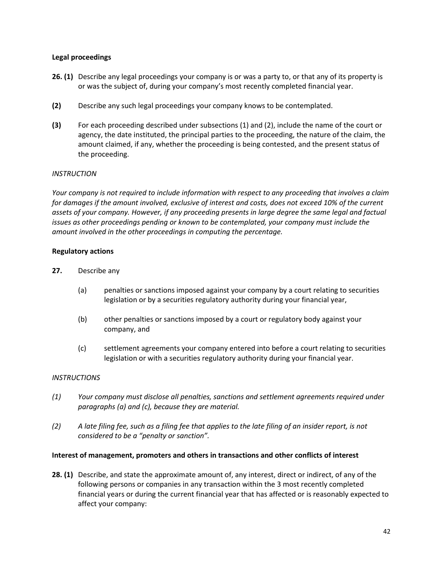## **Legal proceedings**

- **26. (1)** Describe any legal proceedings your company is or was a party to, or that any of its property is or was the subject of, during your company's most recently completed financial year.
- **(2)** Describe any such legal proceedings your company knows to be contemplated.
- **(3)** For each proceeding described under subsections (1) and (2), include the name of the court or agency, the date instituted, the principal parties to the proceeding, the nature of the claim, the amount claimed, if any, whether the proceeding is being contested, and the present status of the proceeding.

### *INSTRUCTION*

*Your company is not required to include information with respect to any proceeding that involves a claim for damages if the amount involved, exclusive of interest and costs, does not exceed 10% of the current assets of your company. However, if any proceeding presents in large degree the same legal and factual issues as other proceedings pending or known to be contemplated, your company must include the amount involved in the other proceedings in computing the percentage.*

# **Regulatory actions**

- **27.** Describe any
	- (a) penalties or sanctions imposed against your company by a court relating to securities legislation or by a securities regulatory authority during your financial year,
	- (b) other penalties or sanctions imposed by a court or regulatory body against your company, and
	- (c) settlement agreements your company entered into before a court relating to securities legislation or with a securities regulatory authority during your financial year.

### *INSTRUCTIONS*

- *(1) Your company must disclose all penalties, sanctions and settlement agreements required under paragraphs (a) and (c), because they are material.*
- *(2) A late filing fee, such as a filing fee that applies to the late filing of an insider report, is not considered to be a "penalty or sanction".*

### **Interest of management, promoters and others in transactions and other conflicts of interest**

**28. (1)** Describe, and state the approximate amount of, any interest, direct or indirect, of any of the following persons or companies in any transaction within the 3 most recently completed financial years or during the current financial year that has affected or is reasonably expected to affect your company: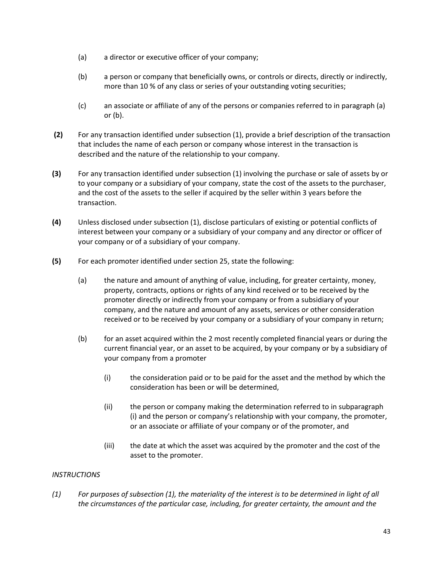- (a) a director or executive officer of your company;
- (b) a person or company that beneficially owns, or controls or directs, directly or indirectly, more than 10 % of any class or series of your outstanding voting securities;
- (c) an associate or affiliate of any of the persons or companies referred to in paragraph (a) or (b).
- **(2)** For any transaction identified under subsection (1), provide a brief description of the transaction that includes the name of each person or company whose interest in the transaction is described and the nature of the relationship to your company.
- **(3)** For any transaction identified under subsection (1) involving the purchase or sale of assets by or to your company or a subsidiary of your company, state the cost of the assets to the purchaser, and the cost of the assets to the seller if acquired by the seller within 3 years before the transaction.
- **(4)** Unless disclosed under subsection (1), disclose particulars of existing or potential conflicts of interest between your company or a subsidiary of your company and any director or officer of your company or of a subsidiary of your company.
- **(5)** For each promoter identified under section 25, state the following:
	- (a) the nature and amount of anything of value, including, for greater certainty, money, property, contracts, options or rights of any kind received or to be received by the promoter directly or indirectly from your company or from a subsidiary of your company, and the nature and amount of any assets, services or other consideration received or to be received by your company or a subsidiary of your company in return;
	- (b) for an asset acquired within the 2 most recently completed financial years or during the current financial year, or an asset to be acquired, by your company or by a subsidiary of your company from a promoter
		- (i) the consideration paid or to be paid for the asset and the method by which the consideration has been or will be determined,
		- (ii) the person or company making the determination referred to in subparagraph (i) and the person or company's relationship with your company, the promoter, or an associate or affiliate of your company or of the promoter, and
		- (iii) the date at which the asset was acquired by the promoter and the cost of the asset to the promoter.

### *INSTRUCTIONS*

*(1) For purposes of subsection (1), the materiality of the interest is to be determined in light of all the circumstances of the particular case, including, for greater certainty, the amount and the*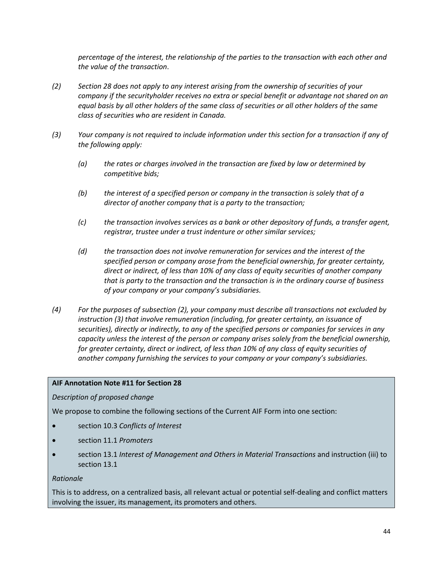*percentage of the interest, the relationship of the parties to the transaction with each other and the value of the transaction*.

- *(2) Section 28 does not apply to any interest arising from the ownership of securities of your company if the securityholder receives no extra or special benefit or advantage not shared on an equal basis by all other holders of the same class of securities or all other holders of the same class of securities who are resident in Canada.*
- *(3) Your company is not required to include information under this section for a transaction if any of the following apply:*
	- *(a) the rates or charges involved in the transaction are fixed by law or determined by competitive bids;*
	- *(b) the interest of a specified person or company in the transaction is solely that of a director of another company that is a party to the transaction;*
	- *(c) the transaction involves services as a bank or other depository of funds, a transfer agent, registrar, trustee under a trust indenture or other similar services;*
	- *(d) the transaction does not involve remuneration for services and the interest of the specified person or company arose from the beneficial ownership, for greater certainty, direct or indirect, of less than 10% of any class of equity securities of another company that is party to the transaction and the transaction is in the ordinary course of business of your company or your company's subsidiaries.*
- *(4) For the purposes of subsection (2), your company must describe all transactions not excluded by instruction (3) that involve remuneration (including, for greater certainty, an issuance of securities), directly or indirectly, to any of the specified persons or companies for services in any capacity unless the interest of the person or company arises solely from the beneficial ownership, for greater certainty, direct or indirect, of less than 10% of any class of equity securities of another company furnishing the services to your company or your company's subsidiaries.*

### **AIF Annotation Note #11 for Section 28**

*Description of proposed change*

We propose to combine the following sections of the Current AIF Form into one section:

- section 10.3 *Conflicts of Interest*
- section 11.1 *Promoters*
- section 13.1 *Interest of Management and Others in Material Transactions* and instruction (iii) to section 13.1

#### *Rationale*

This is to address, on a centralized basis, all relevant actual or potential self-dealing and conflict matters involving the issuer, its management, its promoters and others.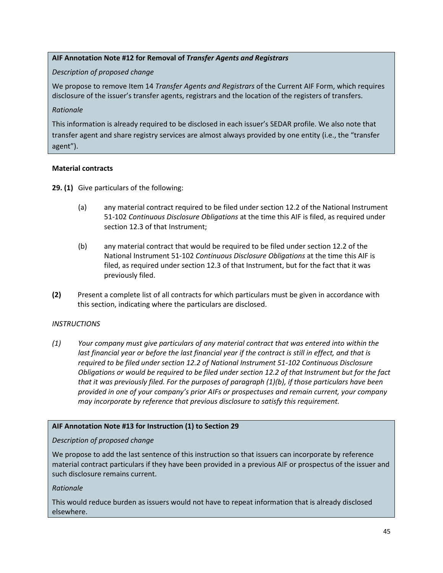# **AIF Annotation Note #12 for Removal of** *Transfer Agents and Registrars*

# *Description of proposed change*

We propose to remove Item 14 *Transfer Agents and Registrars* of the Current AIF Form, which requires disclosure of the issuer's transfer agents, registrars and the location of the registers of transfers.

## *Rationale*

This information is already required to be disclosed in each issuer's SEDAR profile. We also note that transfer agent and share registry services are almost always provided by one entity (i.e., the "transfer agent").

# **Material contracts**

**29. (1)** Give particulars of the following:

- (a) any material contract required to be filed under section 12.2 of the National Instrument 51-102 *Continuous Disclosure Obligations* at the time this AIF is filed, as required under section 12.3 of that Instrument;
- (b) any material contract that would be required to be filed under section 12.2 of the National Instrument 51-102 *Continuous Disclosure Obligations* at the time this AIF is filed, as required under section 12.3 of that Instrument, but for the fact that it was previously filed.
- **(2)** Present a complete list of all contracts for which particulars must be given in accordance with this section, indicating where the particulars are disclosed.

# *INSTRUCTIONS*

*(1) Your company must give particulars of any material contract that was entered into within the last financial year or before the last financial year if the contract is still in effect, and that is required to be filed under section 12.2 of National Instrument 51-102 Continuous Disclosure Obligations or would be required to be filed under section 12.2 of that Instrument but for the fact that it was previously filed. For the purposes of paragraph (1)(b), if those particulars have been provided in one of your company's prior AIFs or prospectuses and remain current, your company may incorporate by reference that previous disclosure to satisfy this requirement.*

# **AIF Annotation Note #13 for Instruction (1) to Section 29**

### *Description of proposed change*

We propose to add the last sentence of this instruction so that issuers can incorporate by reference material contract particulars if they have been provided in a previous AIF or prospectus of the issuer and such disclosure remains current.

# *Rationale*

This would reduce burden as issuers would not have to repeat information that is already disclosed elsewhere.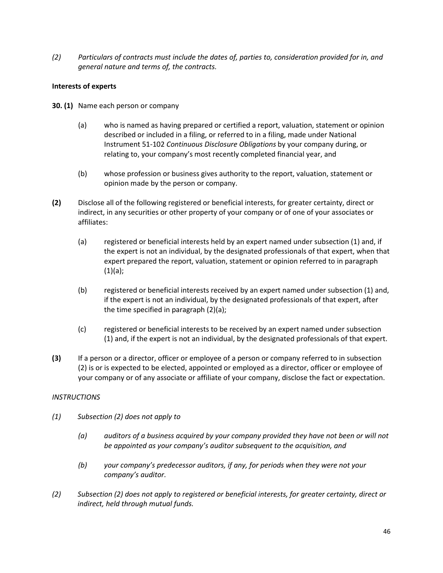*(2) Particulars of contracts must include the dates of, parties to, consideration provided for in, and general nature and terms of, the contracts.* 

## **Interests of experts**

- **30. (1)** Name each person or company
	- (a) who is named as having prepared or certified a report, valuation, statement or opinion described or included in a filing, or referred to in a filing, made under National Instrument 51-102 *Continuous Disclosure Obligations* by your company during, or relating to, your company's most recently completed financial year, and
	- (b) whose profession or business gives authority to the report, valuation, statement or opinion made by the person or company.
- **(2)** Disclose all of the following registered or beneficial interests, for greater certainty, direct or indirect, in any securities or other property of your company or of one of your associates or affiliates:
	- (a) registered or beneficial interests held by an expert named under subsection (1) and, if the expert is not an individual, by the designated professionals of that expert, when that expert prepared the report, valuation, statement or opinion referred to in paragraph  $(1)(a);$
	- (b) registered or beneficial interests received by an expert named under subsection (1) and, if the expert is not an individual, by the designated professionals of that expert, after the time specified in paragraph (2)(a);
	- (c) registered or beneficial interests to be received by an expert named under subsection (1) and, if the expert is not an individual, by the designated professionals of that expert.
- **(3)** If a person or a director, officer or employee of a person or company referred to in subsection (2) is or is expected to be elected, appointed or employed as a director, officer or employee of your company or of any associate or affiliate of your company, disclose the fact or expectation.

### *INSTRUCTIONS*

- *(1) Subsection (2) does not apply to* 
	- *(a) auditors of a business acquired by your company provided they have not been or will not be appointed as your company's auditor subsequent to the acquisition, and*
	- *(b) your company's predecessor auditors, if any, for periods when they were not your company's auditor.*
- *(2) Subsection (2) does not apply to registered or beneficial interests, for greater certainty, direct or indirect, held through mutual funds.*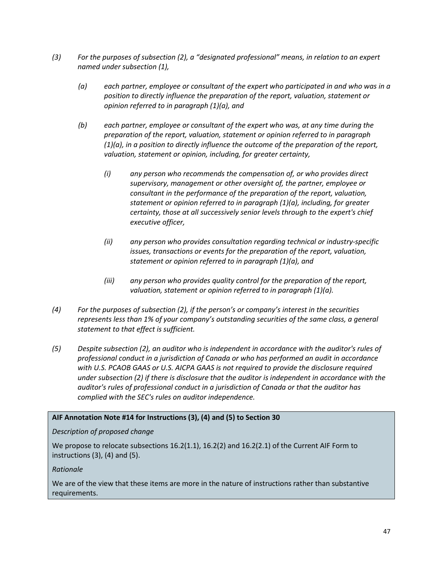- *(3) For the purposes of subsection (2), a "designated professional" means, in relation to an expert named under subsection (1),* 
	- *(a) each partner, employee or consultant of the expert who participated in and who was in a position to directly influence the preparation of the report, valuation, statement or opinion referred to in paragraph (1)(a), and*
	- *(b) each partner, employee or consultant of the expert who was, at any time during the preparation of the report, valuation, statement or opinion referred to in paragraph (1)(a), in a position to directly influence the outcome of the preparation of the report, valuation, statement or opinion, including, for greater certainty,*
		- *(i) any person who recommends the compensation of, or who provides direct supervisory, management or other oversight of, the partner, employee or consultant in the performance of the preparation of the report, valuation, statement or opinion referred to in paragraph (1)(a), including, for greater certainty, those at all successively senior levels through to the expert's chief executive officer,*
		- *(ii) any person who provides consultation regarding technical or industry-specific issues, transactions or events for the preparation of the report, valuation, statement or opinion referred to in paragraph (1)(a), and*
		- *(iii) any person who provides quality control for the preparation of the report, valuation, statement or opinion referred to in paragraph (1)(a).*
- *(4) For the purposes of subsection (2), if the person's or company's interest in the securities represents less than 1% of your company's outstanding securities of the same class, a general statement to that effect is sufficient.*
- *(5) Despite subsection (2), an auditor who is independent in accordance with the auditor's rules of professional conduct in a jurisdiction of Canada or who has performed an audit in accordance with U.S. PCAOB GAAS or U.S. AICPA GAAS is not required to provide the disclosure required under subsection (2) if there is disclosure that the auditor is independent in accordance with the auditor's rules of professional conduct in a jurisdiction of Canada or that the auditor has complied with the SEC's rules on auditor independence.*

# **AIF Annotation Note #14 for Instructions (3), (4) and (5) to Section 30**

### *Description of proposed change*

We propose to relocate subsections 16.2(1.1), 16.2(2) and 16.2(2.1) of the Current AIF Form to instructions  $(3)$ ,  $(4)$  and  $(5)$ .

### *Rationale*

We are of the view that these items are more in the nature of instructions rather than substantive requirements.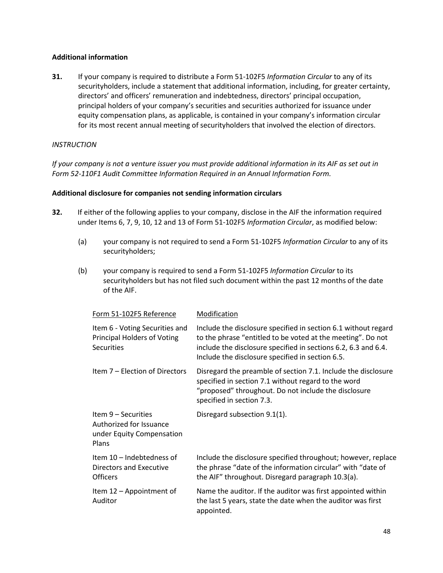## **Additional information**

**31.** If your company is required to distribute a Form 51-102F5 *Information Circular* to any of its securityholders, include a statement that additional information, including, for greater certainty, directors' and officers' remuneration and indebtedness, directors' principal occupation, principal holders of your company's securities and securities authorized for issuance under equity compensation plans, as applicable, is contained in your company's information circular for its most recent annual meeting of securityholders that involved the election of directors.

# *INSTRUCTION*

*If your company is not a venture issuer you must provide additional information in its AIF as set out in Form 52-110F1 Audit Committee Information Required in an Annual Information Form.* 

### **Additional disclosure for companies not sending information circulars**

- **32.** If either of the following applies to your company, disclose in the AIF the information required under Items 6, 7, 9, 10, 12 and 13 of Form 51-102F5 *Information Circular*, as modified below:
	- (a) your company is not required to send a Form 51-102F5 *Information Circular* to any of its securityholders;
	- (b) your company is required to send a Form 51-102F5 *Information Circular* to its securityholders but has not filed such document within the past 12 months of the date of the AIF.

| Form 51-102F5 Reference                                                                   | Modification                                                                                                                                                                                                                                        |
|-------------------------------------------------------------------------------------------|-----------------------------------------------------------------------------------------------------------------------------------------------------------------------------------------------------------------------------------------------------|
| Item 6 - Voting Securities and<br><b>Principal Holders of Voting</b><br><b>Securities</b> | Include the disclosure specified in section 6.1 without regard<br>to the phrase "entitled to be voted at the meeting". Do not<br>include the disclosure specified in sections 6.2, 6.3 and 6.4.<br>Include the disclosure specified in section 6.5. |
| Item 7 – Election of Directors                                                            | Disregard the preamble of section 7.1. Include the disclosure<br>specified in section 7.1 without regard to the word<br>"proposed" throughout. Do not include the disclosure<br>specified in section 7.3.                                           |
| Item 9 – Securities<br>Authorized for Issuance<br>under Equity Compensation<br>Plans      | Disregard subsection 9.1(1).                                                                                                                                                                                                                        |
| Item 10 – Indebtedness of<br>Directors and Executive<br><b>Officers</b>                   | Include the disclosure specified throughout; however, replace<br>the phrase "date of the information circular" with "date of<br>the AIF" throughout. Disregard paragraph 10.3(a).                                                                   |
| Item 12 - Appointment of<br>Auditor                                                       | Name the auditor. If the auditor was first appointed within<br>the last 5 years, state the date when the auditor was first<br>appointed.                                                                                                            |